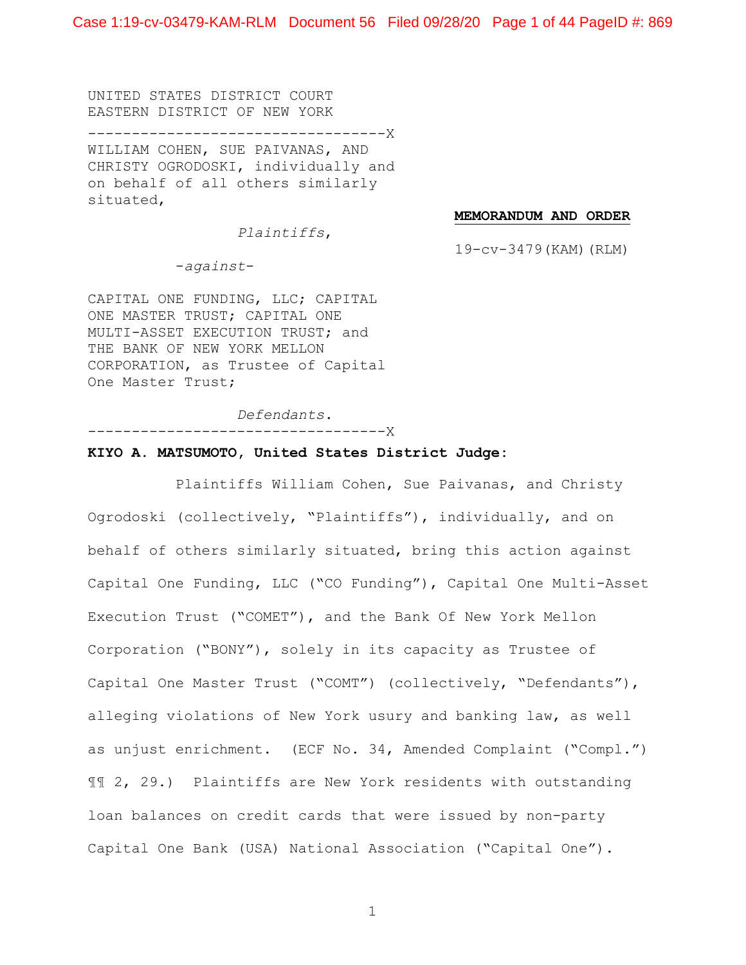UNITED STATES DISTRICT COURT EASTERN DISTRICT OF NEW YORK ----------------------------------X WILLIAM COHEN, SUE PAIVANAS, AND CHRISTY OGRODOSKI, individually and on behalf of all others similarly situated,

#### **MEMORANDUM AND ORDER**

*Plaintiffs*,

19-cv-3479(KAM)(RLM)

-*against*-

CAPITAL ONE FUNDING, LLC; CAPITAL ONE MASTER TRUST; CAPITAL ONE MULTI-ASSET EXECUTION TRUST; and THE BANK OF NEW YORK MELLON CORPORATION, as Trustee of Capital One Master Trust;

*Defendants*.

----------------------------------X

### **KIYO A. MATSUMOTO, United States District Judge:**

Plaintiffs William Cohen, Sue Paivanas, and Christy Ogrodoski (collectively, "Plaintiffs"), individually, and on behalf of others similarly situated, bring this action against Capital One Funding, LLC ("CO Funding"), Capital One Multi-Asset Execution Trust ("COMET"), and the Bank Of New York Mellon Corporation ("BONY"), solely in its capacity as Trustee of Capital One Master Trust ("COMT") (collectively, "Defendants"), alleging violations of New York usury and banking law, as well as unjust enrichment. (ECF No. 34, Amended Complaint ("Compl.") ¶¶ 2, 29.) Plaintiffs are New York residents with outstanding loan balances on credit cards that were issued by non-party Capital One Bank (USA) National Association ("Capital One").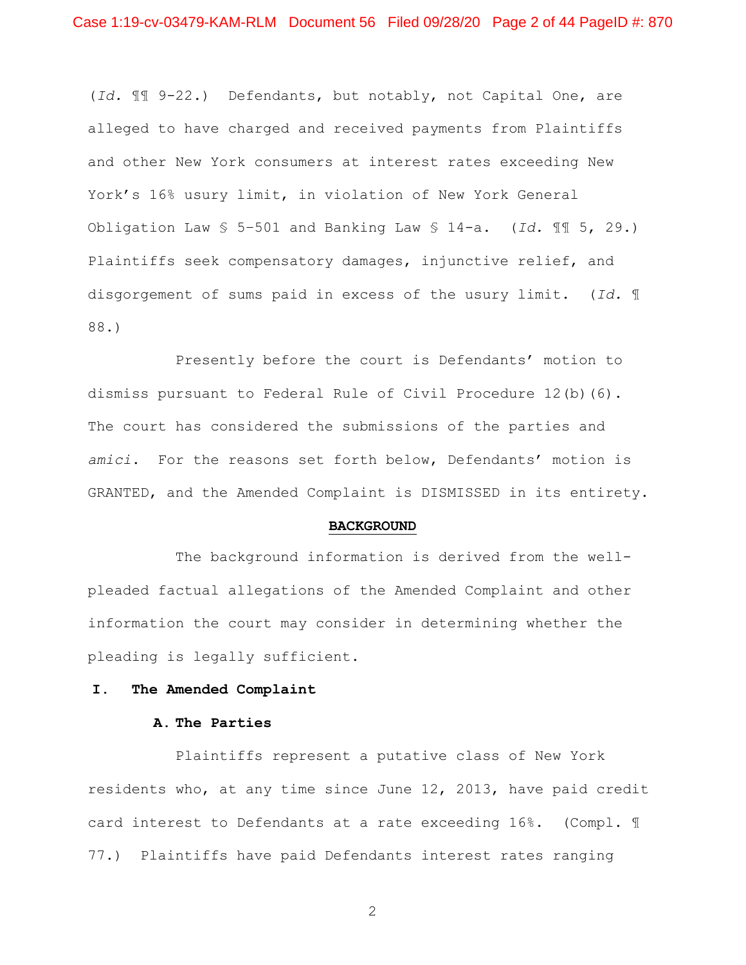(*Id.* ¶¶ 9-22.) Defendants, but notably, not Capital One, are alleged to have charged and received payments from Plaintiffs and other New York consumers at interest rates exceeding New York's 16% usury limit, in violation of New York General Obligation Law § 5–501 and Banking Law § 14-a. (*Id.* ¶¶ 5, 29.) Plaintiffs seek compensatory damages, injunctive relief, and disgorgement of sums paid in excess of the usury limit. (*Id.* ¶ 88.)

Presently before the court is Defendants' motion to dismiss pursuant to Federal Rule of Civil Procedure 12(b)(6). The court has considered the submissions of the parties and *amici*. For the reasons set forth below, Defendants' motion is GRANTED, and the Amended Complaint is DISMISSED in its entirety.

### **BACKGROUND**

The background information is derived from the wellpleaded factual allegations of the Amended Complaint and other information the court may consider in determining whether the pleading is legally sufficient.

### **I. The Amended Complaint**

### **A. The Parties**

Plaintiffs represent a putative class of New York residents who, at any time since June 12, 2013, have paid credit card interest to Defendants at a rate exceeding 16%. (Compl. ¶ 77.) Plaintiffs have paid Defendants interest rates ranging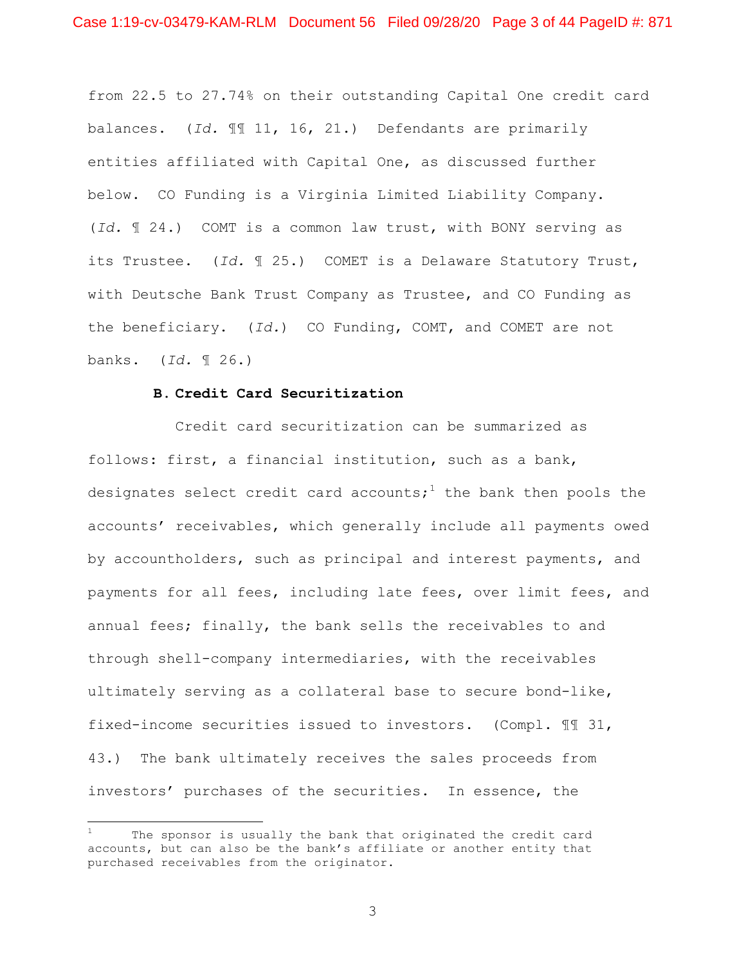from 22.5 to 27.74% on their outstanding Capital One credit card balances. (*Id.* ¶¶ 11, 16, 21.) Defendants are primarily entities affiliated with Capital One, as discussed further below. CO Funding is a Virginia Limited Liability Company. (*Id.* ¶ 24.) COMT is a common law trust, with BONY serving as its Trustee. (*Id.* ¶ 25.) COMET is a Delaware Statutory Trust, with Deutsche Bank Trust Company as Trustee, and CO Funding as the beneficiary. (*Id.*) CO Funding, COMT, and COMET are not banks. (*Id.* ¶ 26.)

## **B. Credit Card Securitization**

Credit card securitization can be summarized as follows: first, a financial institution, such as a bank, designates select credit card accounts;<sup>1</sup> the bank then pools the accounts' receivables, which generally include all payments owed by accountholders, such as principal and interest payments, and payments for all fees, including late fees, over limit fees, and annual fees; finally, the bank sells the receivables to and through shell-company intermediaries, with the receivables ultimately serving as a collateral base to secure bond-like, fixed-income securities issued to investors. (Compl. ¶¶ 31, 43.) The bank ultimately receives the sales proceeds from investors' purchases of the securities. In essence, the

The sponsor is usually the bank that originated the credit card accounts, but can also be the bank's affiliate or another entity that purchased receivables from the originator.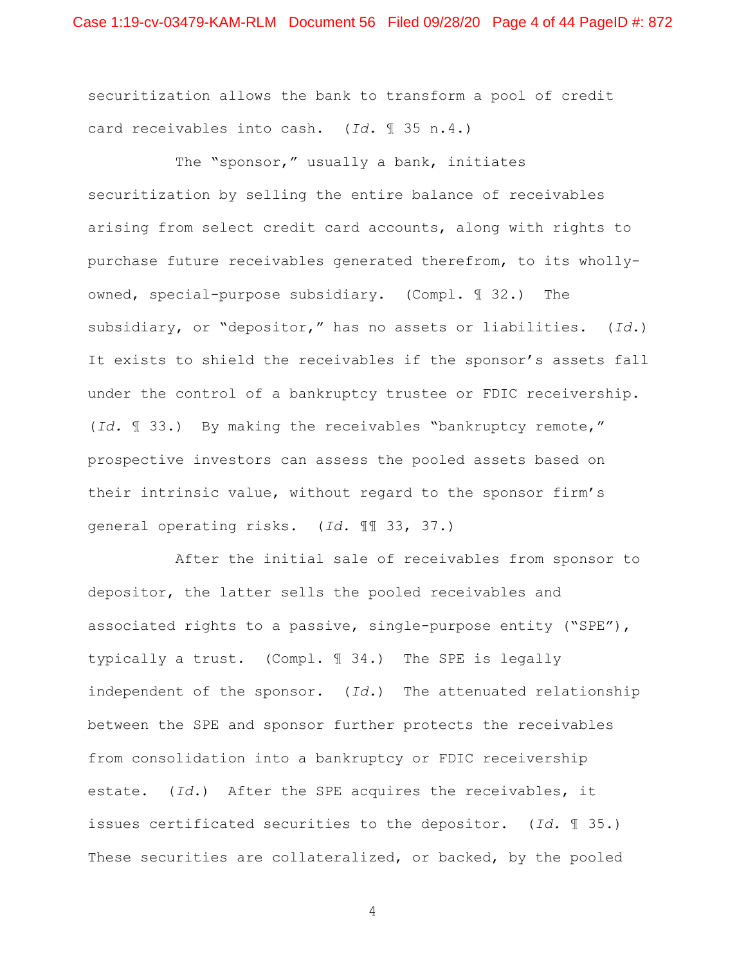securitization allows the bank to transform a pool of credit card receivables into cash. (*Id.* ¶ 35 n.4.)

The "sponsor," usually a bank, initiates securitization by selling the entire balance of receivables arising from select credit card accounts, along with rights to purchase future receivables generated therefrom, to its whollyowned, special-purpose subsidiary. (Compl. ¶ 32.) The subsidiary, or "depositor," has no assets or liabilities. (*Id.*) It exists to shield the receivables if the sponsor's assets fall under the control of a bankruptcy trustee or FDIC receivership. (*Id.* ¶ 33.) By making the receivables "bankruptcy remote," prospective investors can assess the pooled assets based on their intrinsic value, without regard to the sponsor firm's general operating risks. (*Id.* ¶¶ 33, 37.)

After the initial sale of receivables from sponsor to depositor, the latter sells the pooled receivables and associated rights to a passive, single-purpose entity ("SPE"), typically a trust. (Compl. ¶ 34.) The SPE is legally independent of the sponsor. (*Id.*) The attenuated relationship between the SPE and sponsor further protects the receivables from consolidation into a bankruptcy or FDIC receivership estate. (*Id.*) After the SPE acquires the receivables, it issues certificated securities to the depositor. (*Id.* ¶ 35.) These securities are collateralized, or backed, by the pooled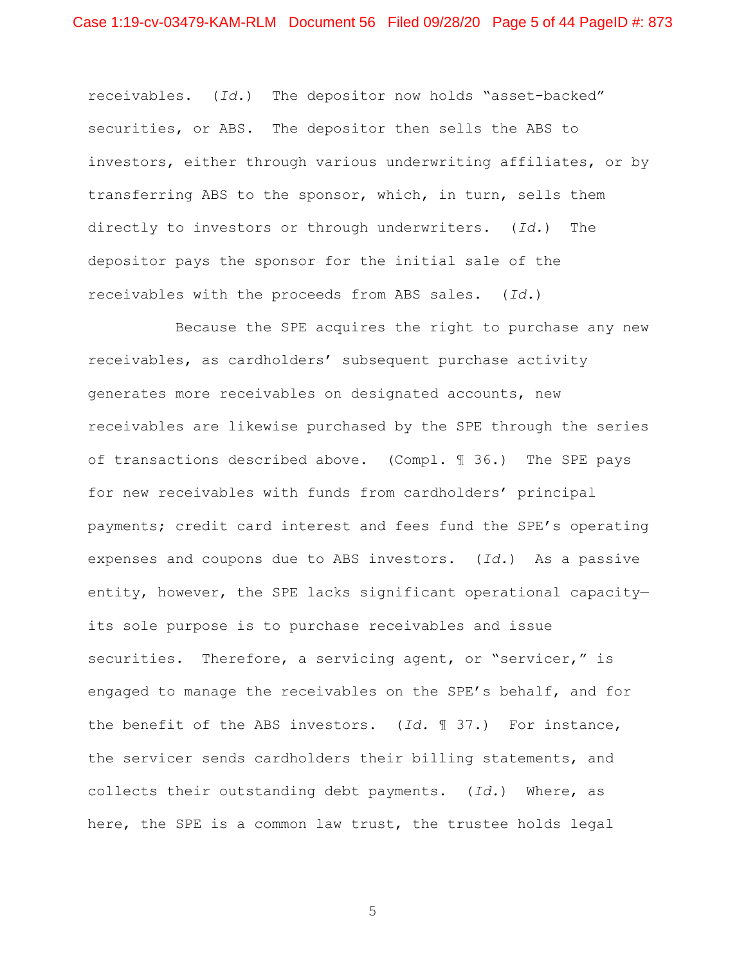receivables. (*Id.*) The depositor now holds "asset-backed" securities, or ABS. The depositor then sells the ABS to investors, either through various underwriting affiliates, or by transferring ABS to the sponsor, which, in turn, sells them directly to investors or through underwriters. (*Id.*) The depositor pays the sponsor for the initial sale of the receivables with the proceeds from ABS sales. (*Id.*)

Because the SPE acquires the right to purchase any new receivables, as cardholders' subsequent purchase activity generates more receivables on designated accounts, new receivables are likewise purchased by the SPE through the series of transactions described above. (Compl. ¶ 36.) The SPE pays for new receivables with funds from cardholders' principal payments; credit card interest and fees fund the SPE's operating expenses and coupons due to ABS investors. (*Id.*) As a passive entity, however, the SPE lacks significant operational capacity its sole purpose is to purchase receivables and issue securities. Therefore, a servicing agent, or "servicer," is engaged to manage the receivables on the SPE's behalf, and for the benefit of the ABS investors. (*Id.* ¶ 37.) For instance, the servicer sends cardholders their billing statements, and collects their outstanding debt payments. (*Id.*) Where, as here, the SPE is a common law trust, the trustee holds legal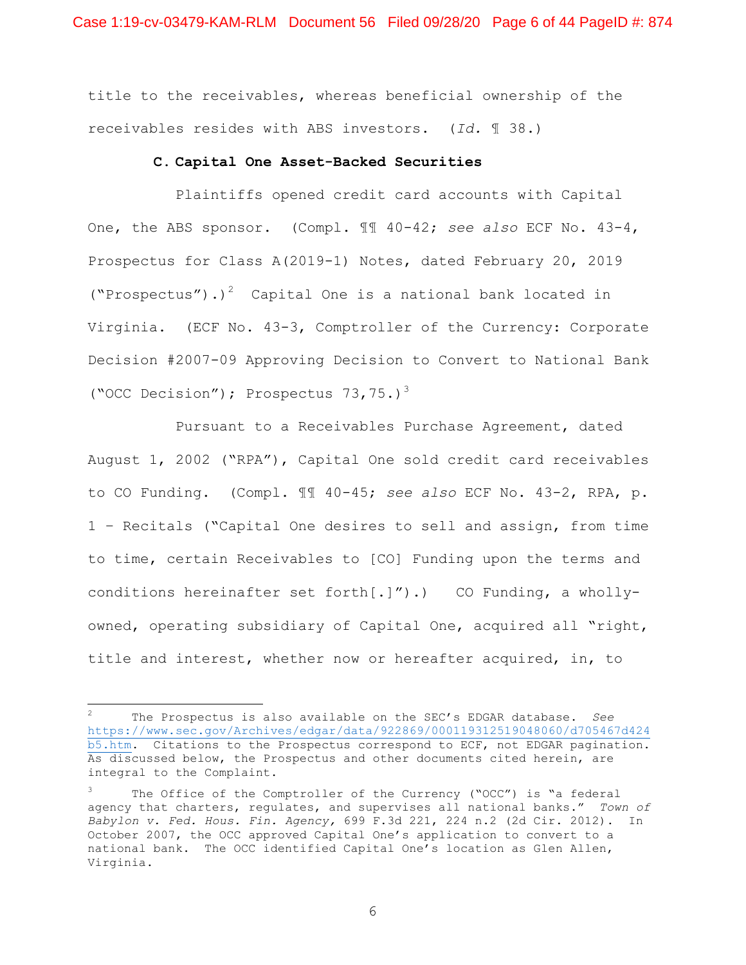title to the receivables, whereas beneficial ownership of the receivables resides with ABS investors. (*Id.* ¶ 38.)

## **C. Capital One Asset-Backed Securities**

Plaintiffs opened credit card accounts with Capital One, the ABS sponsor. (Compl. ¶¶ 40-42; *see also* ECF No. 43-4, Prospectus for Class A(2019-1) Notes, dated February 20, 2019 ("Prospectus").)<sup>2</sup> Capital One is a national bank located in Virginia. (ECF No. 43-3, Comptroller of the Currency: Corporate Decision #2007-09 Approving Decision to Convert to National Bank ("OCC Decision"); Prospectus  $73,75.$ )<sup>3</sup>

Pursuant to a Receivables Purchase Agreement, dated August 1, 2002 ("RPA"), Capital One sold credit card receivables to CO Funding. (Compl. ¶¶ 40-45; *see also* ECF No. 43-2, RPA, p. 1 – Recitals ("Capital One desires to sell and assign, from time to time, certain Receivables to [CO] Funding upon the terms and conditions hereinafter set forth $[.]''$ ).) CO Funding, a whollyowned, operating subsidiary of Capital One, acquired all "right, title and interest, whether now or hereafter acquired, in, to

<sup>2</sup> The Prospectus is also available on the SEC's EDGAR database. *See* https://www.sec.gov/Archives/edgar/data/922869/000119312519048060/d705467d424 b5.htm. Citations to the Prospectus correspond to ECF, not EDGAR pagination. As discussed below, the Prospectus and other documents cited herein, are integral to the Complaint.

The Office of the Comptroller of the Currency ("OCC") is "a federal agency that charters, regulates, and supervises all national banks." *Town of Babylon v. Fed. Hous. Fin. Agency,* 699 F.3d 221, 224 n.2 (2d Cir. 2012). In October 2007, the OCC approved Capital One's application to convert to a national bank. The OCC identified Capital One's location as Glen Allen, Virginia.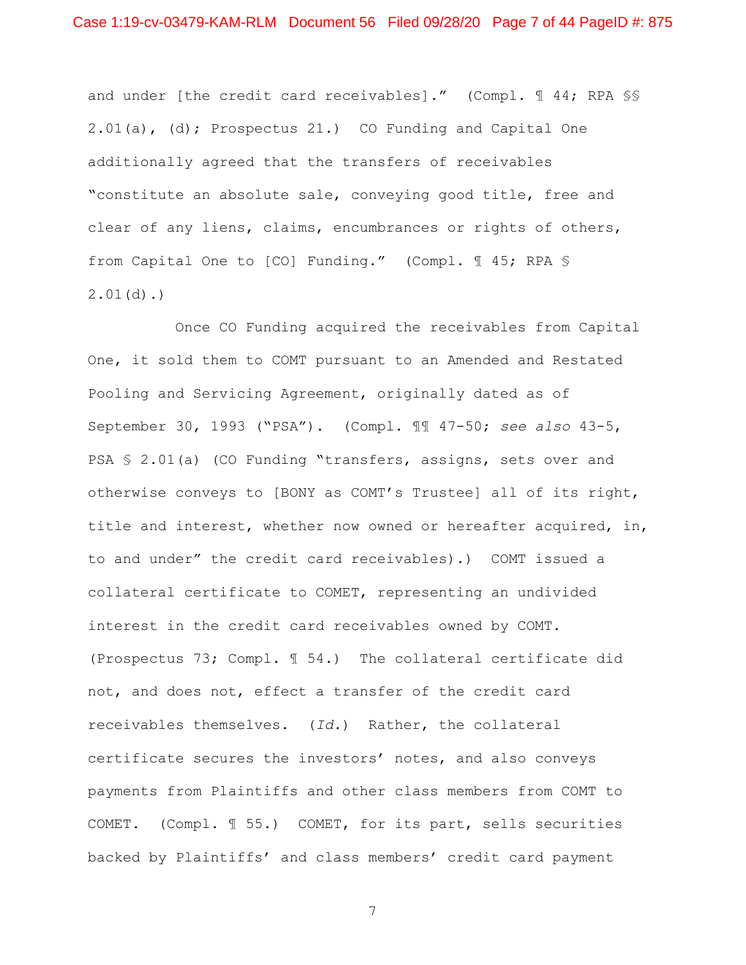and under [the credit card receivables]." (Compl. 144; RPA SS 2.01(a), (d); Prospectus 21.) CO Funding and Capital One additionally agreed that the transfers of receivables "constitute an absolute sale, conveying good title, free and clear of any liens, claims, encumbrances or rights of others, from Capital One to [CO] Funding." (Compl. ¶ 45; RPA § 2.01(d).)

Once CO Funding acquired the receivables from Capital One, it sold them to COMT pursuant to an Amended and Restated Pooling and Servicing Agreement, originally dated as of September 30, 1993 ("PSA"). (Compl. ¶¶ 47-50; *see also* 43-5, PSA § 2.01(a) (CO Funding "transfers, assigns, sets over and otherwise conveys to [BONY as COMT's Trustee] all of its right, title and interest, whether now owned or hereafter acquired, in, to and under" the credit card receivables).) COMT issued a collateral certificate to COMET, representing an undivided interest in the credit card receivables owned by COMT. (Prospectus 73; Compl. ¶ 54.) The collateral certificate did not, and does not, effect a transfer of the credit card receivables themselves. (*Id.*)Rather, the collateral certificate secures the investors' notes, and also conveys payments from Plaintiffs and other class members from COMT to COMET. (Compl. ¶ 55.) COMET, for its part, sells securities backed by Plaintiffs' and class members' credit card payment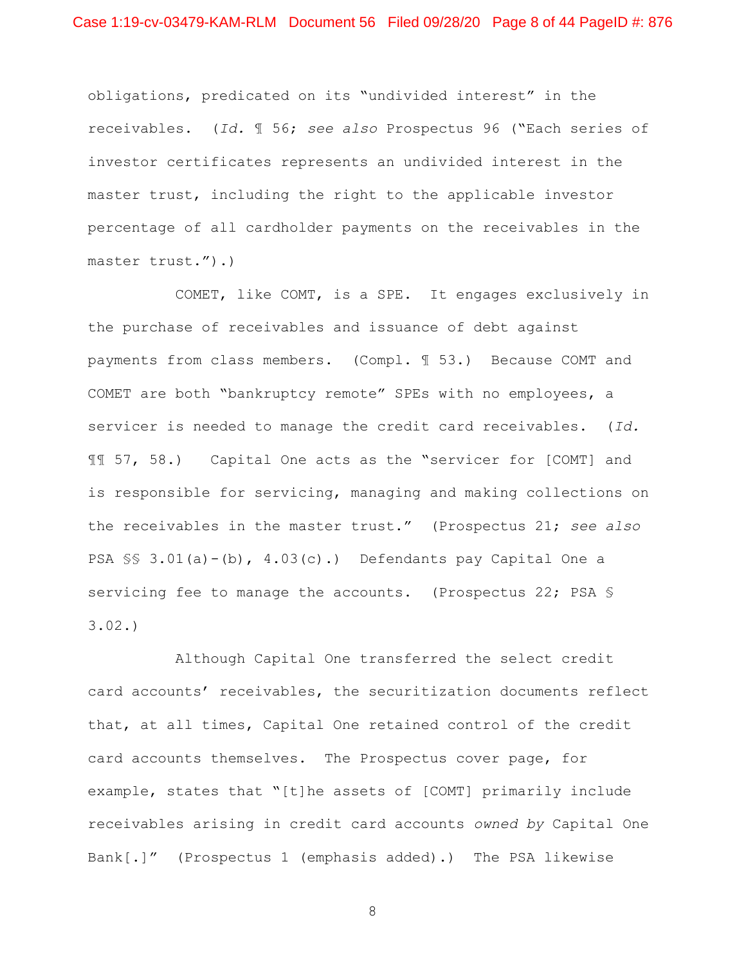obligations, predicated on its "undivided interest" in the receivables. (*Id.* ¶ 56; *see also* Prospectus 96 ("Each series of investor certificates represents an undivided interest in the master trust, including the right to the applicable investor percentage of all cardholder payments on the receivables in the master trust.").)

COMET, like COMT, is a SPE. It engages exclusively in the purchase of receivables and issuance of debt against payments from class members. (Compl. ¶ 53.) Because COMT and COMET are both "bankruptcy remote" SPEs with no employees, a servicer is needed to manage the credit card receivables. (*Id.* ¶¶ 57, 58.) Capital One acts as the "servicer for [COMT] and is responsible for servicing, managing and making collections on the receivables in the master trust." (Prospectus 21; *see also*  PSA §§ 3.01(a)-(b), 4.03(c).) Defendants pay Capital One a servicing fee to manage the accounts. (Prospectus 22; PSA § 3.02.)

Although Capital One transferred the select credit card accounts' receivables, the securitization documents reflect that, at all times, Capital One retained control of the credit card accounts themselves. The Prospectus cover page, for example, states that "[t]he assets of [COMT] primarily include receivables arising in credit card accounts *owned by* Capital One Bank[.]" (Prospectus 1 (emphasis added).) The PSA likewise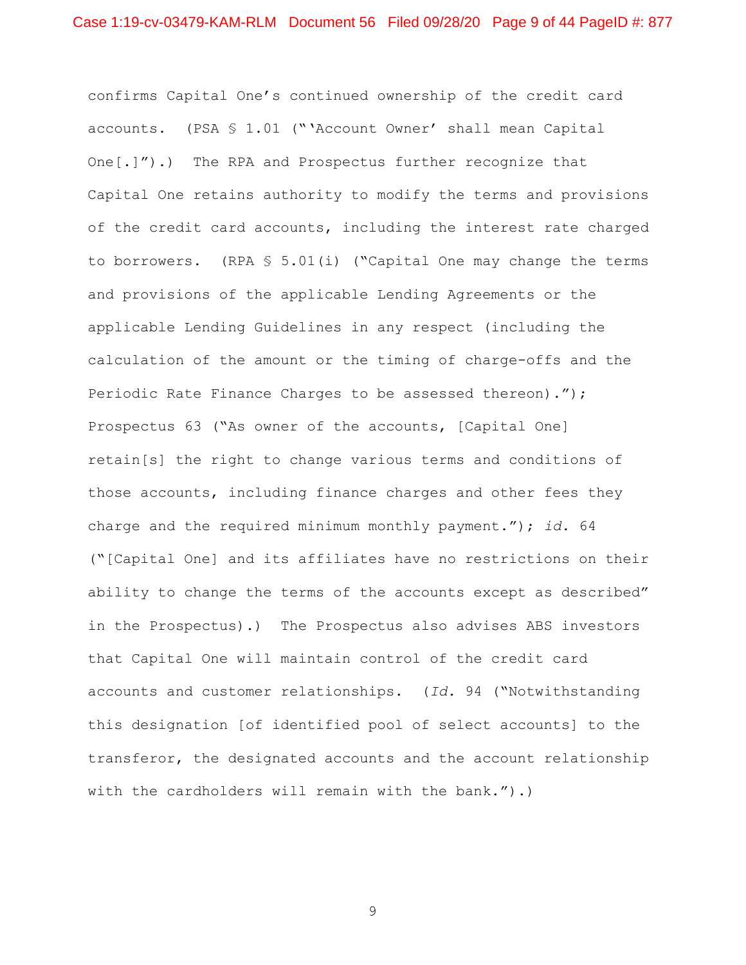confirms Capital One's continued ownership of the credit card accounts. (PSA § 1.01 ("'Account Owner' shall mean Capital One[.]").) The RPA and Prospectus further recognize that Capital One retains authority to modify the terms and provisions of the credit card accounts, including the interest rate charged to borrowers. (RPA § 5.01(i) ("Capital One may change the terms and provisions of the applicable Lending Agreements or the applicable Lending Guidelines in any respect (including the calculation of the amount or the timing of charge-offs and the Periodic Rate Finance Charges to be assessed thereon)."); Prospectus 63 ("As owner of the accounts, [Capital One] retain[s] the right to change various terms and conditions of those accounts, including finance charges and other fees they charge and the required minimum monthly payment."); *id.* 64 ("[Capital One] and its affiliates have no restrictions on their ability to change the terms of the accounts except as described" in the Prospectus).) The Prospectus also advises ABS investors that Capital One will maintain control of the credit card accounts and customer relationships. (*Id.* 94 ("Notwithstanding this designation [of identified pool of select accounts] to the transferor, the designated accounts and the account relationship with the cardholders will remain with the bank.").)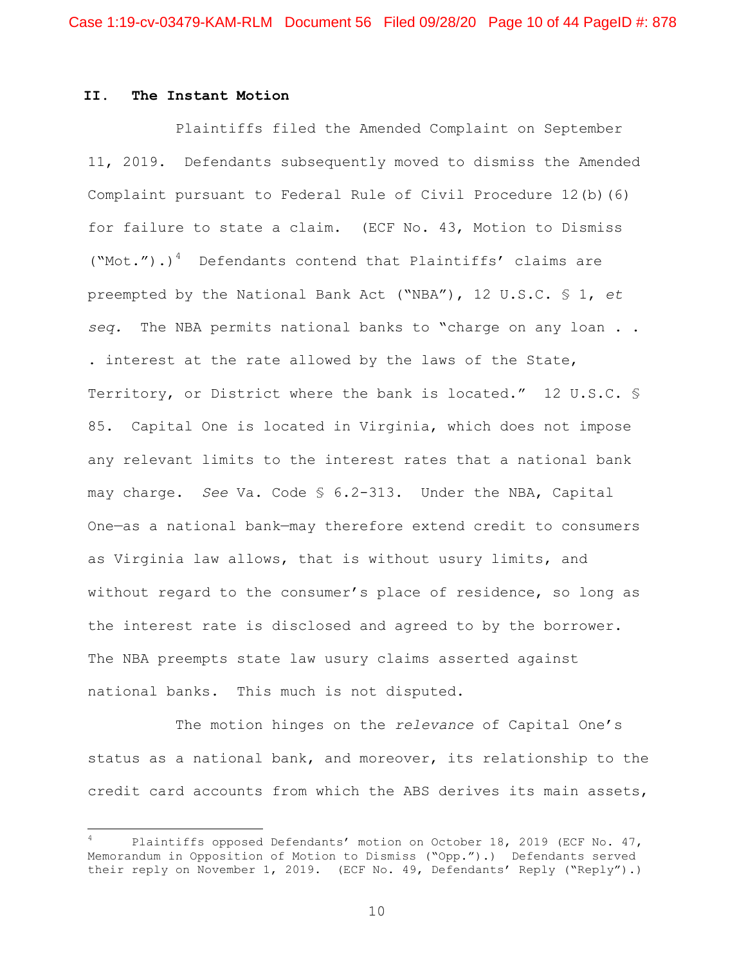## **II. The Instant Motion**

Plaintiffs filed the Amended Complaint on September 11, 2019. Defendants subsequently moved to dismiss the Amended Complaint pursuant to Federal Rule of Civil Procedure 12(b)(6) for failure to state a claim. (ECF No. 43, Motion to Dismiss  $("Mot.")$ .)<sup>4</sup> Defendants contend that Plaintiffs' claims are preempted by the National Bank Act ("NBA"), 12 U.S.C. § 1, *et seq.* The NBA permits national banks to "charge on any loan . . . interest at the rate allowed by the laws of the State, Territory, or District where the bank is located." 12 U.S.C. § 85. Capital One is located in Virginia, which does not impose any relevant limits to the interest rates that a national bank may charge. *See* Va. Code § 6.2-313. Under the NBA, Capital One—as a national bank—may therefore extend credit to consumers as Virginia law allows, that is without usury limits, and without regard to the consumer's place of residence, so long as the interest rate is disclosed and agreed to by the borrower. The NBA preempts state law usury claims asserted against national banks. This much is not disputed.

The motion hinges on the *relevance* of Capital One's status as a national bank, and moreover, its relationship to the credit card accounts from which the ABS derives its main assets,

Plaintiffs opposed Defendants' motion on October 18, 2019 (ECF No. 47, Memorandum in Opposition of Motion to Dismiss ("Opp.").) Defendants served their reply on November 1, 2019. (ECF No. 49, Defendants' Reply ("Reply").)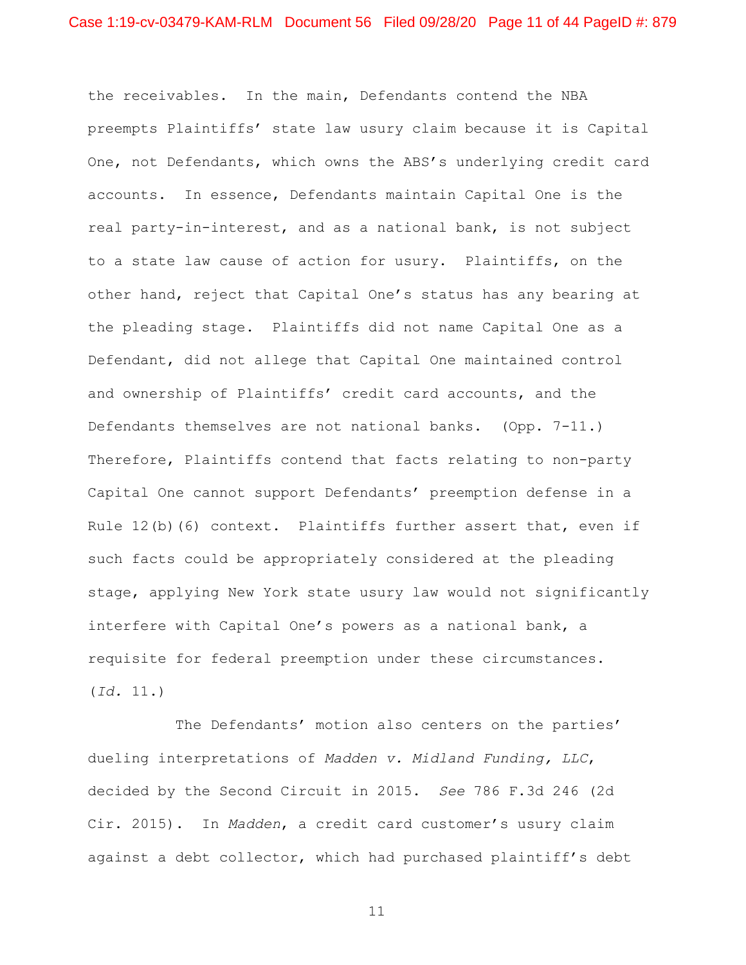the receivables. In the main, Defendants contend the NBA preempts Plaintiffs' state law usury claim because it is Capital One, not Defendants, which owns the ABS's underlying credit card accounts. In essence, Defendants maintain Capital One is the real party-in-interest, and as a national bank, is not subject to a state law cause of action for usury. Plaintiffs, on the other hand, reject that Capital One's status has any bearing at the pleading stage. Plaintiffs did not name Capital One as a Defendant, did not allege that Capital One maintained control and ownership of Plaintiffs' credit card accounts, and the Defendants themselves are not national banks. (Opp. 7-11.) Therefore, Plaintiffs contend that facts relating to non-party Capital One cannot support Defendants' preemption defense in a Rule 12(b)(6) context. Plaintiffs further assert that, even if such facts could be appropriately considered at the pleading stage, applying New York state usury law would not significantly interfere with Capital One's powers as a national bank, a requisite for federal preemption under these circumstances. (*Id.* 11.)

The Defendants' motion also centers on the parties' dueling interpretations of *Madden v. Midland Funding, LLC*, decided by the Second Circuit in 2015. *See* 786 F.3d 246 (2d Cir. 2015). In *Madden*, a credit card customer's usury claim against a debt collector, which had purchased plaintiff's debt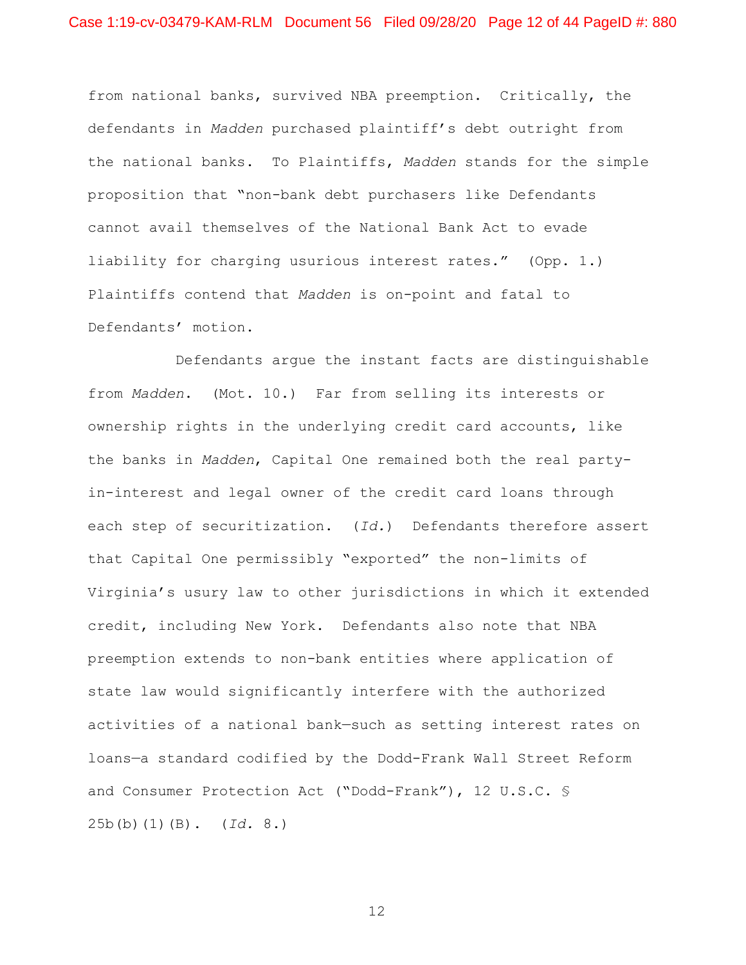from national banks, survived NBA preemption. Critically, the defendants in *Madden* purchased plaintiff's debt outright from the national banks. To Plaintiffs, *Madden* stands for the simple proposition that "non-bank debt purchasers like Defendants cannot avail themselves of the National Bank Act to evade liability for charging usurious interest rates." (Opp. 1.) Plaintiffs contend that *Madden* is on-point and fatal to Defendants' motion.

Defendants argue the instant facts are distinguishable from *Madden*. (Mot. 10.) Far from selling its interests or ownership rights in the underlying credit card accounts, like the banks in *Madden*, Capital One remained both the real partyin-interest and legal owner of the credit card loans through each step of securitization. (*Id.*) Defendants therefore assert that Capital One permissibly "exported" the non-limits of Virginia's usury law to other jurisdictions in which it extended credit, including New York. Defendants also note that NBA preemption extends to non-bank entities where application of state law would significantly interfere with the authorized activities of a national bank—such as setting interest rates on loans—a standard codified by the Dodd-Frank Wall Street Reform and Consumer Protection Act ("Dodd-Frank"), 12 U.S.C. § 25b(b)(1)(B). (*Id.* 8.)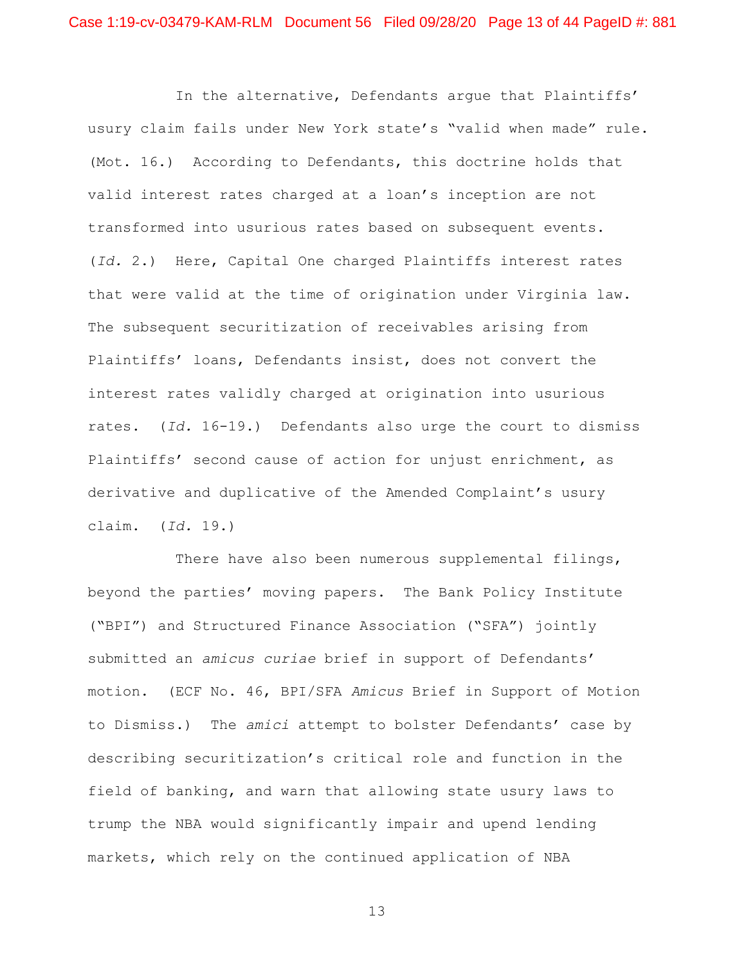In the alternative, Defendants argue that Plaintiffs' usury claim fails under New York state's "valid when made" rule. (Mot. 16.) According to Defendants, this doctrine holds that valid interest rates charged at a loan's inception are not transformed into usurious rates based on subsequent events. (*Id.* 2.) Here, Capital One charged Plaintiffs interest rates that were valid at the time of origination under Virginia law. The subsequent securitization of receivables arising from Plaintiffs' loans, Defendants insist, does not convert the interest rates validly charged at origination into usurious rates. (*Id.* 16-19.) Defendants also urge the court to dismiss Plaintiffs' second cause of action for unjust enrichment, as derivative and duplicative of the Amended Complaint's usury claim. (*Id.* 19.)

There have also been numerous supplemental filings, beyond the parties' moving papers. The Bank Policy Institute ("BPI") and Structured Finance Association ("SFA") jointly submitted an *amicus curiae* brief in support of Defendants' motion. (ECF No. 46, BPI/SFA *Amicus* Brief in Support of Motion to Dismiss.) The *amici* attempt to bolster Defendants' case by describing securitization's critical role and function in the field of banking, and warn that allowing state usury laws to trump the NBA would significantly impair and upend lending markets, which rely on the continued application of NBA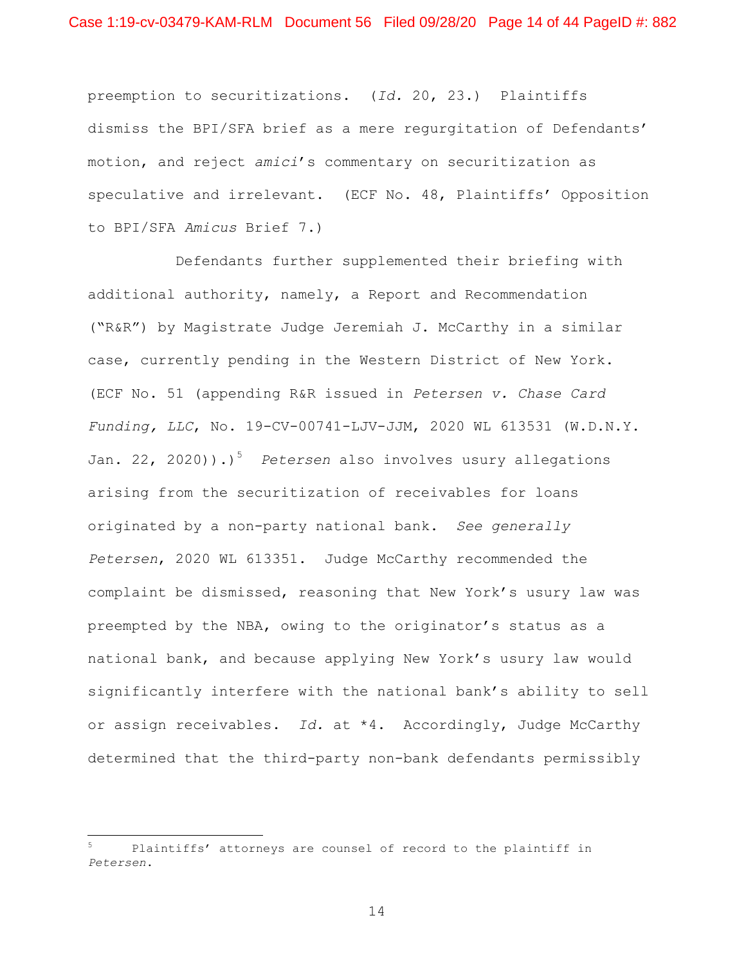preemption to securitizations. (*Id.* 20, 23.) Plaintiffs dismiss the BPI/SFA brief as a mere regurgitation of Defendants' motion, and reject *amici*'s commentary on securitization as speculative and irrelevant. (ECF No. 48, Plaintiffs' Opposition to BPI/SFA *Amicus* Brief 7.)

Defendants further supplemented their briefing with additional authority, namely, a Report and Recommendation ("R&R") by Magistrate Judge Jeremiah J. McCarthy in a similar case, currently pending in the Western District of New York. (ECF No. 51 (appending R&R issued in *Petersen v. Chase Card Funding, LLC*, No. 19-CV-00741-LJV-JJM, 2020 WL 613531 (W.D.N.Y. Jan. 22, 2020)).)<sup>5</sup> Petersen also involves usury allegations arising from the securitization of receivables for loans originated by a non-party national bank. *See generally Petersen*, 2020 WL 613351. Judge McCarthy recommended the complaint be dismissed, reasoning that New York's usury law was preempted by the NBA, owing to the originator's status as a national bank, and because applying New York's usury law would significantly interfere with the national bank's ability to sell or assign receivables. *Id.* at \*4. Accordingly, Judge McCarthy determined that the third-party non-bank defendants permissibly

Plaintiffs' attorneys are counsel of record to the plaintiff in *Petersen*.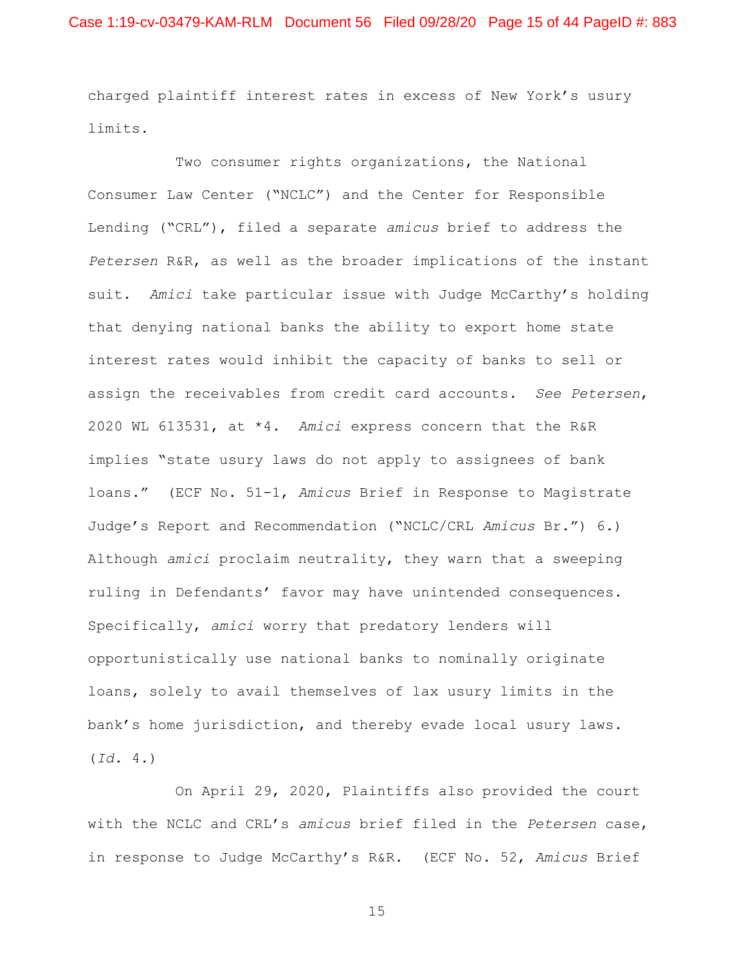charged plaintiff interest rates in excess of New York's usury limits.

Two consumer rights organizations, the National Consumer Law Center ("NCLC") and the Center for Responsible Lending ("CRL"), filed a separate *amicus* brief to address the *Petersen* R&R, as well as the broader implications of the instant suit. *Amici* take particular issue with Judge McCarthy's holding that denying national banks the ability to export home state interest rates would inhibit the capacity of banks to sell or assign the receivables from credit card accounts. *See Petersen*, 2020 WL 613531, at \*4. *Amici* express concern that the R&R implies "state usury laws do not apply to assignees of bank loans." (ECF No. 51-1, *Amicus* Brief in Response to Magistrate Judge's Report and Recommendation ("NCLC/CRL *Amicus* Br.") 6.) Although *amici* proclaim neutrality, they warn that a sweeping ruling in Defendants' favor may have unintended consequences. Specifically, *amici* worry that predatory lenders will opportunistically use national banks to nominally originate loans, solely to avail themselves of lax usury limits in the bank's home jurisdiction, and thereby evade local usury laws.  $(Id. 4.)$ 

On April 29, 2020, Plaintiffs also provided the court with the NCLC and CRL's *amicus* brief filed in the *Petersen* case, in response to Judge McCarthy's R&R. (ECF No. 52, *Amicus* Brief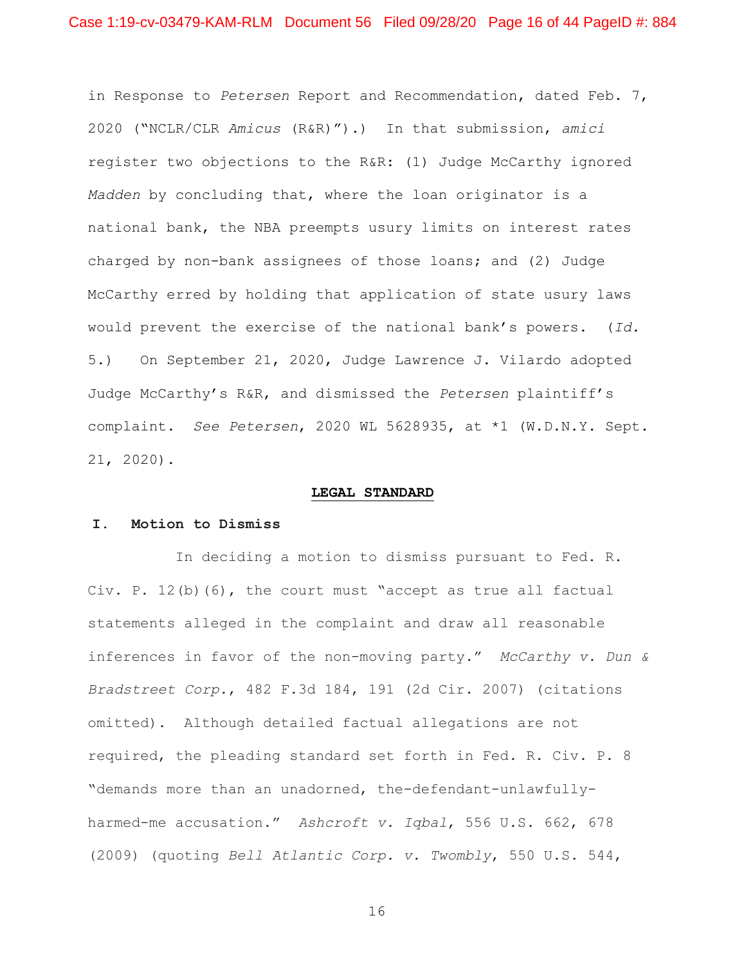in Response to *Petersen* Report and Recommendation, dated Feb. 7, 2020 ("NCLR/CLR *Amicus* (R&R)").) In that submission, *amici*  register two objections to the R&R: (1) Judge McCarthy ignored *Madden* by concluding that, where the loan originator is a national bank, the NBA preempts usury limits on interest rates charged by non-bank assignees of those loans; and (2) Judge McCarthy erred by holding that application of state usury laws would prevent the exercise of the national bank's powers. (*Id.*  5.) On September 21, 2020, Judge Lawrence J. Vilardo adopted Judge McCarthy's R&R, and dismissed the *Petersen* plaintiff's complaint. *See Petersen*, 2020 WL 5628935, at \*1 (W.D.N.Y. Sept. 21, 2020).

#### **LEGAL STANDARD**

### **I. Motion to Dismiss**

In deciding a motion to dismiss pursuant to Fed. R. Civ. P.  $12(b)$  (6), the court must "accept as true all factual statements alleged in the complaint and draw all reasonable inferences in favor of the non-moving party." *McCarthy v. Dun & Bradstreet Corp.*, 482 F.3d 184, 191 (2d Cir. 2007) (citations omitted). Although detailed factual allegations are not required, the pleading standard set forth in Fed. R. Civ. P. 8 "demands more than an unadorned, the-defendant-unlawfullyharmed-me accusation." *Ashcroft v. Iqbal*, 556 U.S. 662, 678 (2009) (quoting *Bell Atlantic Corp. v. Twombly*, 550 U.S. 544,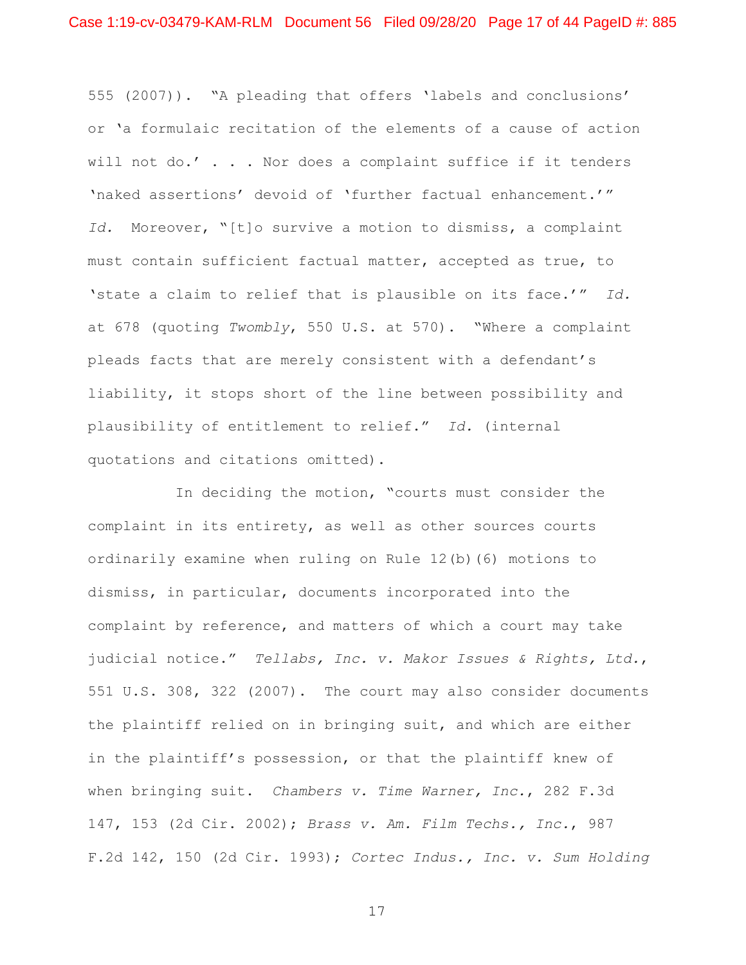555 (2007)). "A pleading that offers 'labels and conclusions' or 'a formulaic recitation of the elements of a cause of action will not do.' . . . Nor does a complaint suffice if it tenders 'naked assertions' devoid of 'further factual enhancement.'" *Id.* Moreover, "[t]o survive a motion to dismiss, a complaint must contain sufficient factual matter, accepted as true, to 'state a claim to relief that is plausible on its face.'" *Id.* at 678 (quoting *Twombly*, 550 U.S. at 570). "Where a complaint pleads facts that are merely consistent with a defendant's liability, it stops short of the line between possibility and plausibility of entitlement to relief." *Id.* (internal quotations and citations omitted).

In deciding the motion, "courts must consider the complaint in its entirety, as well as other sources courts ordinarily examine when ruling on Rule 12(b)(6) motions to dismiss, in particular, documents incorporated into the complaint by reference, and matters of which a court may take judicial notice." *Tellabs, Inc. v. Makor Issues & Rights, Ltd.*, 551 U.S. 308, 322 (2007). The court may also consider documents the plaintiff relied on in bringing suit, and which are either in the plaintiff's possession, or that the plaintiff knew of when bringing suit. *Chambers v. Time Warner, Inc.*, 282 F.3d 147, 153 (2d Cir. 2002); *Brass v. Am. Film Techs., Inc.*, 987 F.2d 142, 150 (2d Cir. 1993); *Cortec Indus., Inc. v. Sum Holding*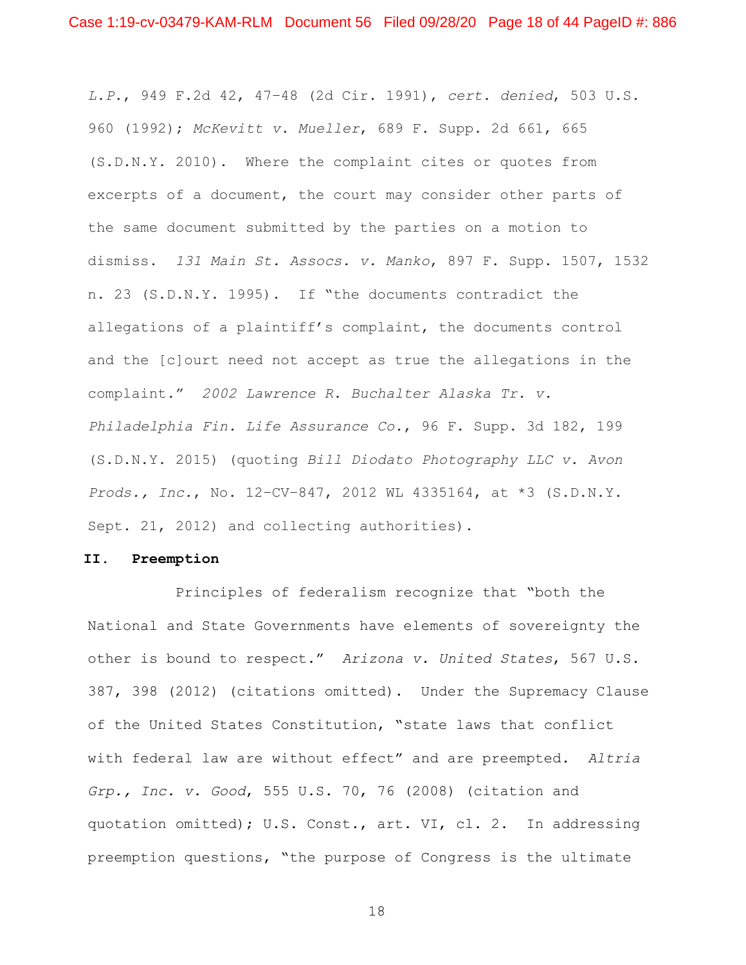*L.P.*, 949 F.2d 42, 47–48 (2d Cir. 1991), *cert. denied*, 503 U.S. 960 (1992); *McKevitt v. Mueller*, 689 F. Supp. 2d 661, 665 (S.D.N.Y. 2010). Where the complaint cites or quotes from excerpts of a document, the court may consider other parts of the same document submitted by the parties on a motion to dismiss. *131 Main St. Assocs. v. Manko*, 897 F. Supp. 1507, 1532 n. 23 (S.D.N.Y. 1995). If "the documents contradict the allegations of a plaintiff's complaint, the documents control and the [c]ourt need not accept as true the allegations in the complaint." *2002 Lawrence R. Buchalter Alaska Tr. v. Philadelphia Fin. Life Assurance Co.*, 96 F. Supp. 3d 182, 199 (S.D.N.Y. 2015) (quoting *Bill Diodato Photography LLC v. Avon Prods., Inc.*, No. 12–CV–847, 2012 WL 4335164, at \*3 (S.D.N.Y. Sept. 21, 2012) and collecting authorities).

#### **II. Preemption**

Principles of federalism recognize that "both the National and State Governments have elements of sovereignty the other is bound to respect." *Arizona v. United States*, 567 U.S. 387, 398 (2012) (citations omitted). Under the Supremacy Clause of the United States Constitution, "state laws that conflict with federal law are without effect" and are preempted. *Altria Grp., Inc. v. Good*, 555 U.S. 70, 76 (2008) (citation and quotation omitted); U.S. Const., art. VI, cl. 2. In addressing preemption questions, "the purpose of Congress is the ultimate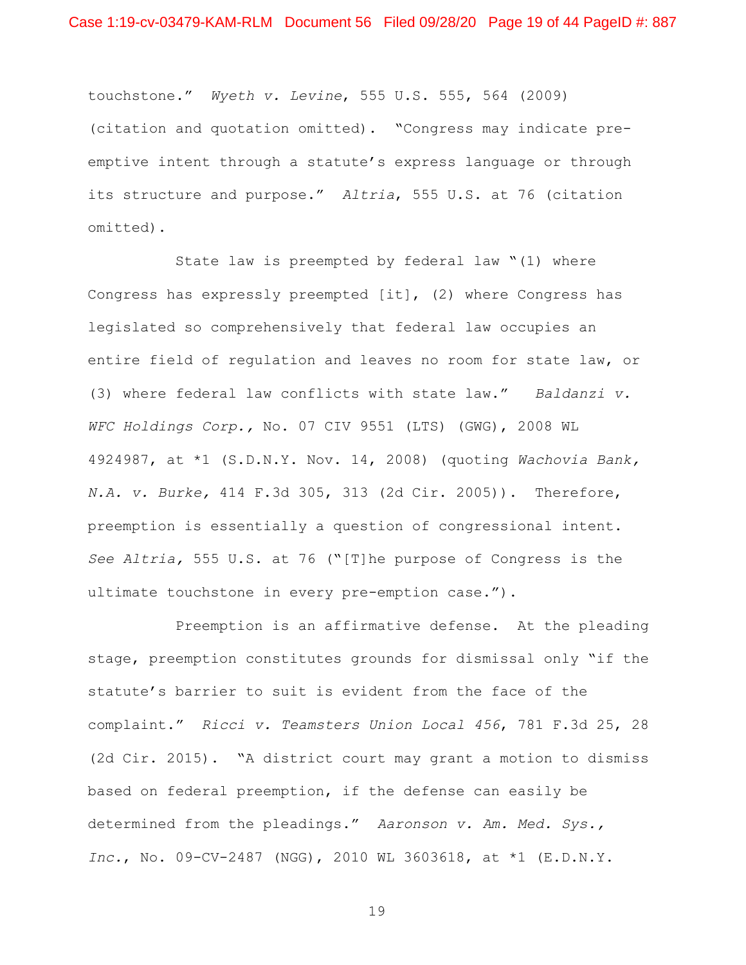touchstone." *Wyeth v. Levine*, 555 U.S. 555, 564 (2009) (citation and quotation omitted). "Congress may indicate preemptive intent through a statute's express language or through its structure and purpose." *Altria*, 555 U.S. at 76 (citation omitted).

State law is preempted by federal law "(1) where Congress has expressly preempted [it], (2) where Congress has legislated so comprehensively that federal law occupies an entire field of regulation and leaves no room for state law, or (3) where federal law conflicts with state law." *Baldanzi v. WFC Holdings Corp.,* No. 07 CIV 9551 (LTS) (GWG), 2008 WL 4924987, at \*1 (S.D.N.Y. Nov. 14, 2008) (quoting *Wachovia Bank, N.A. v. Burke,* 414 F.3d 305, 313 (2d Cir. 2005)). Therefore, preemption is essentially a question of congressional intent. *See Altria,* 555 U.S. at 76 ("[T]he purpose of Congress is the ultimate touchstone in every pre-emption case.").

Preemption is an affirmative defense. At the pleading stage, preemption constitutes grounds for dismissal only "if the statute's barrier to suit is evident from the face of the complaint." *Ricci v. Teamsters Union Local 456*, 781 F.3d 25, 28 (2d Cir. 2015). "A district court may grant a motion to dismiss based on federal preemption, if the defense can easily be determined from the pleadings." *Aaronson v. Am. Med. Sys., Inc.*, No. 09-CV-2487 (NGG), 2010 WL 3603618, at \*1 (E.D.N.Y.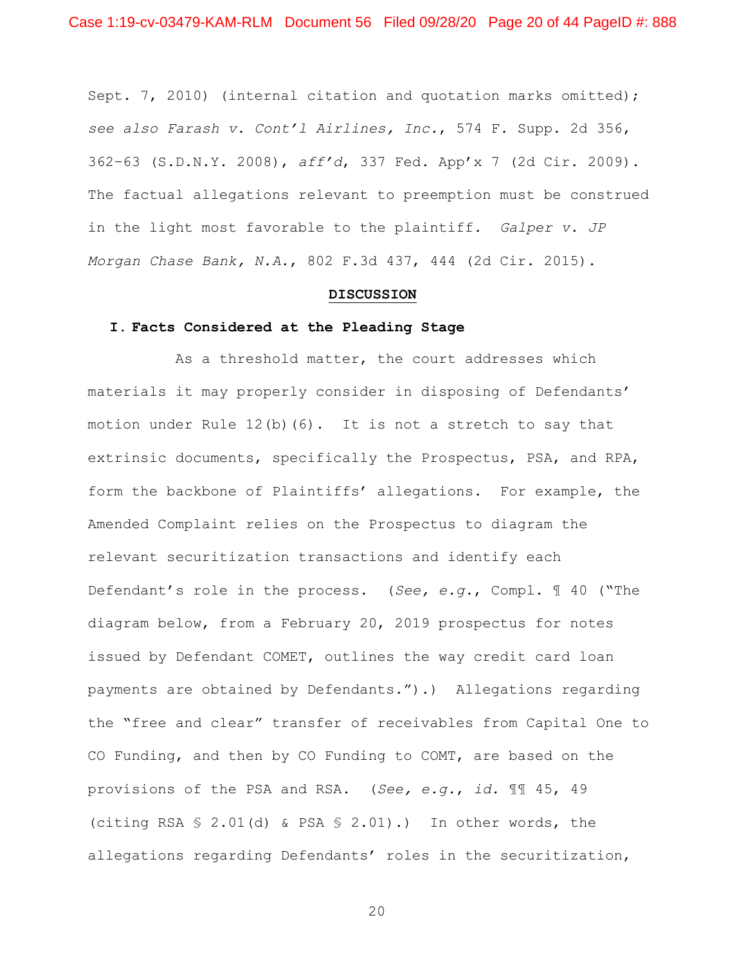Sept. 7, 2010) (internal citation and quotation marks omitted); *see also Farash v. Cont'l Airlines, Inc.*, 574 F. Supp. 2d 356, 362–63 (S.D.N.Y. 2008), *aff'd*, 337 Fed. App'x 7 (2d Cir. 2009). The factual allegations relevant to preemption must be construed in the light most favorable to the plaintiff. *Galper v. JP Morgan Chase Bank, N.A.*, 802 F.3d 437, 444 (2d Cir. 2015).

#### **DISCUSSION**

#### **I. Facts Considered at the Pleading Stage**

As a threshold matter, the court addresses which materials it may properly consider in disposing of Defendants' motion under Rule  $12(b)(6)$ . It is not a stretch to say that extrinsic documents, specifically the Prospectus, PSA, and RPA, form the backbone of Plaintiffs' allegations. For example, the Amended Complaint relies on the Prospectus to diagram the relevant securitization transactions and identify each Defendant's role in the process. (*See, e.g.*, Compl. ¶ 40 ("The diagram below, from a February 20, 2019 prospectus for notes issued by Defendant COMET, outlines the way credit card loan payments are obtained by Defendants.").) Allegations regarding the "free and clear" transfer of receivables from Capital One to CO Funding, and then by CO Funding to COMT, are based on the provisions of the PSA and RSA. (*See, e.g.*, *id.* ¶¶ 45, 49 (citing RSA § 2.01(d) & PSA § 2.01).) In other words, the allegations regarding Defendants' roles in the securitization,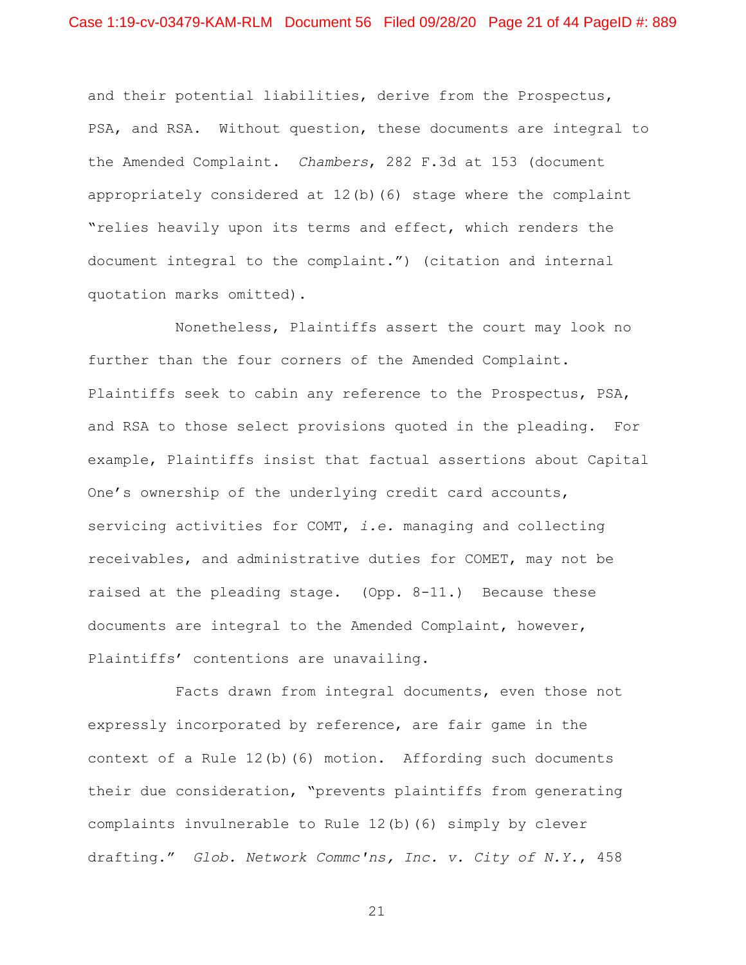and their potential liabilities, derive from the Prospectus, PSA, and RSA. Without question, these documents are integral to the Amended Complaint. *Chambers*, 282 F.3d at 153 (document appropriately considered at 12(b)(6) stage where the complaint "relies heavily upon its terms and effect, which renders the document integral to the complaint.") (citation and internal quotation marks omitted).

Nonetheless, Plaintiffs assert the court may look no further than the four corners of the Amended Complaint. Plaintiffs seek to cabin any reference to the Prospectus, PSA, and RSA to those select provisions quoted in the pleading. For example, Plaintiffs insist that factual assertions about Capital One's ownership of the underlying credit card accounts, servicing activities for COMT, *i.e.* managing and collecting receivables, and administrative duties for COMET, may not be raised at the pleading stage. (Opp. 8-11.) Because these documents are integral to the Amended Complaint, however, Plaintiffs' contentions are unavailing.

Facts drawn from integral documents, even those not expressly incorporated by reference, are fair game in the context of a Rule 12(b)(6) motion. Affording such documents their due consideration, "prevents plaintiffs from generating complaints invulnerable to Rule 12(b)(6) simply by clever drafting." *Glob. Network Commc'ns, Inc. v. City of N.Y.*, 458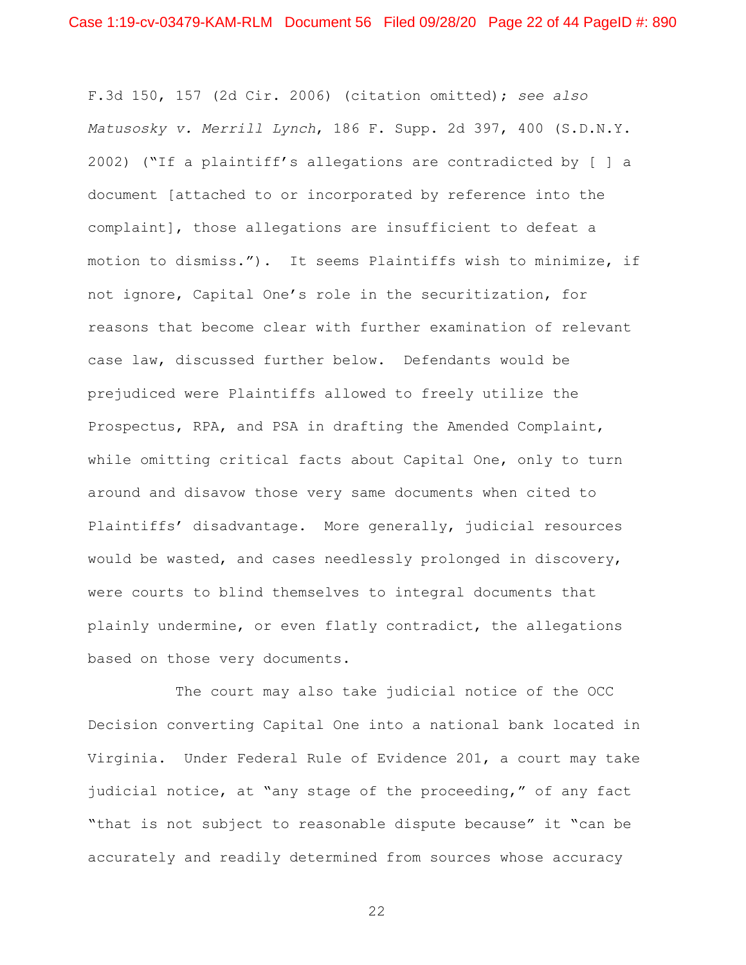F.3d 150, 157 (2d Cir. 2006) (citation omitted); *see also Matusosky v. Merrill Lynch*, 186 F. Supp. 2d 397, 400 (S.D.N.Y. 2002) ("If a plaintiff's allegations are contradicted by [ ] a document [attached to or incorporated by reference into the complaint], those allegations are insufficient to defeat a motion to dismiss."). It seems Plaintiffs wish to minimize, if not ignore, Capital One's role in the securitization, for reasons that become clear with further examination of relevant case law, discussed further below. Defendants would be prejudiced were Plaintiffs allowed to freely utilize the Prospectus, RPA, and PSA in drafting the Amended Complaint, while omitting critical facts about Capital One, only to turn around and disavow those very same documents when cited to Plaintiffs' disadvantage. More generally, judicial resources would be wasted, and cases needlessly prolonged in discovery, were courts to blind themselves to integral documents that plainly undermine, or even flatly contradict, the allegations based on those very documents.

The court may also take judicial notice of the OCC Decision converting Capital One into a national bank located in Virginia. Under Federal Rule of Evidence 201, a court may take judicial notice, at "any stage of the proceeding," of any fact "that is not subject to reasonable dispute because" it "can be accurately and readily determined from sources whose accuracy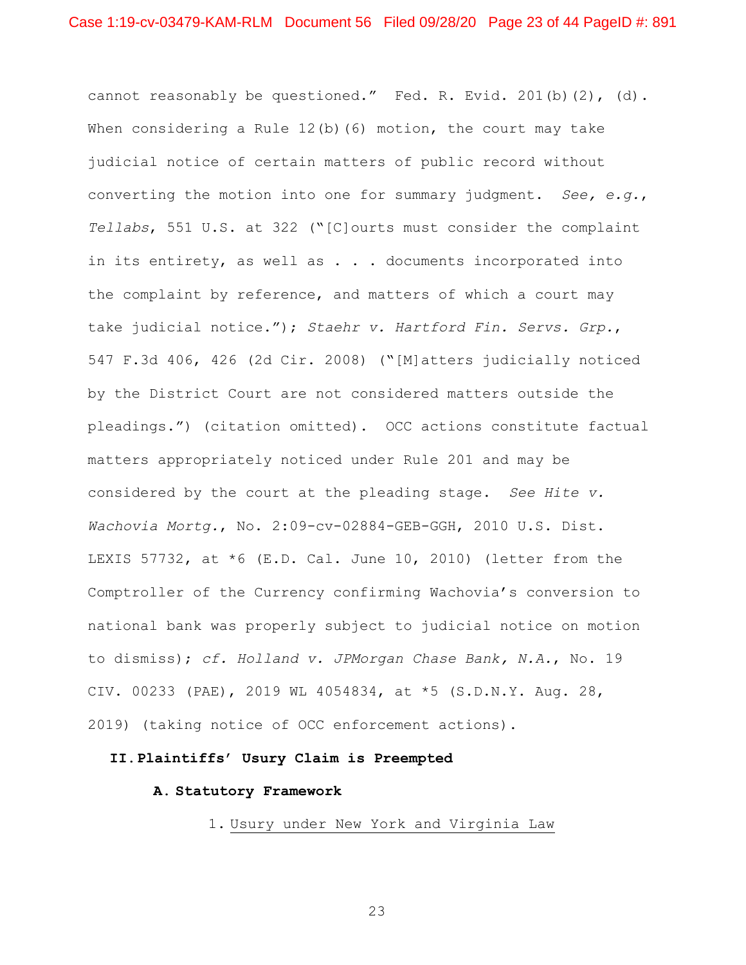cannot reasonably be questioned." Fed. R. Evid. 201(b)(2), (d). When considering a Rule  $12(b)$  (6) motion, the court may take judicial notice of certain matters of public record without converting the motion into one for summary judgment. *See, e.g.*, *Tellabs*, 551 U.S. at 322 ("[C]ourts must consider the complaint in its entirety, as well as . . . documents incorporated into the complaint by reference, and matters of which a court may take judicial notice."); *Staehr v. Hartford Fin. Servs. Grp.*, 547 F.3d 406, 426 (2d Cir. 2008) ("[M]atters judicially noticed by the District Court are not considered matters outside the pleadings.") (citation omitted). OCC actions constitute factual matters appropriately noticed under Rule 201 and may be considered by the court at the pleading stage. *See Hite v. Wachovia Mortg.*, No. 2:09-cv-02884-GEB-GGH, 2010 U.S. Dist. LEXIS 57732, at  $*6$  (E.D. Cal. June 10, 2010) (letter from the Comptroller of the Currency confirming Wachovia's conversion to national bank was properly subject to judicial notice on motion to dismiss); *cf. Holland v. JPMorgan Chase Bank, N.A.*, No. 19 CIV. 00233 (PAE), 2019 WL 4054834, at \*5 (S.D.N.Y. Aug. 28, 2019) (taking notice of OCC enforcement actions).

# **II.Plaintiffs' Usury Claim is Preempted**

## **A. Statutory Framework**

1. Usury under New York and Virginia Law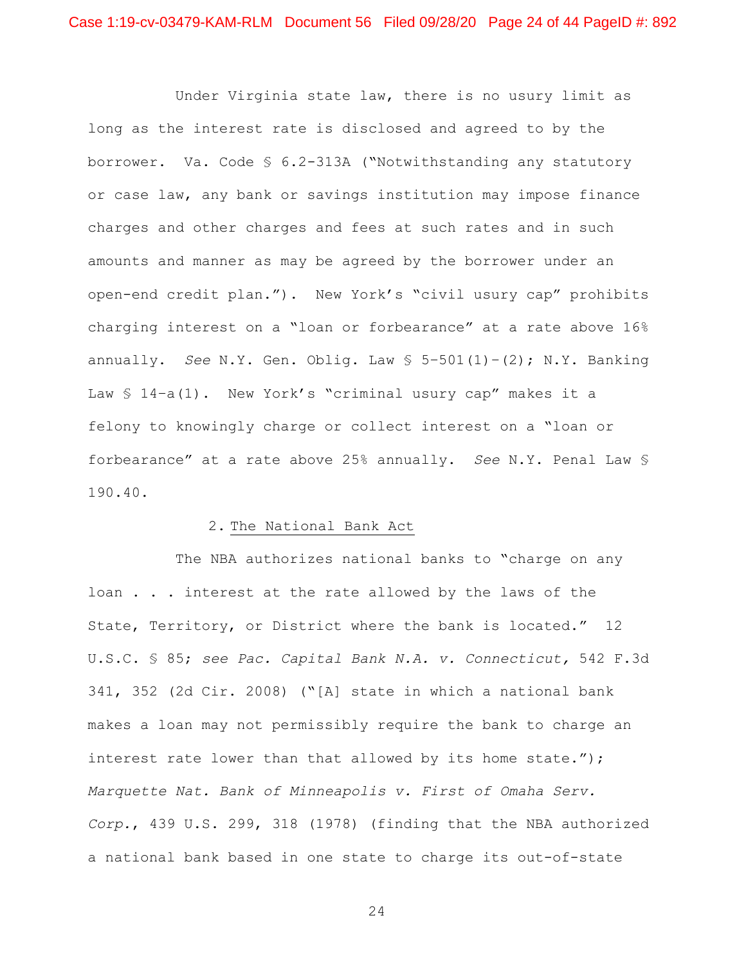Under Virginia state law, there is no usury limit as long as the interest rate is disclosed and agreed to by the borrower. Va. Code § 6.2-313A ("Notwithstanding any statutory or case law, any bank or savings institution may impose finance charges and other charges and fees at such rates and in such amounts and manner as may be agreed by the borrower under an open-end credit plan."). New York's "civil usury cap" prohibits charging interest on a "loan or forbearance" at a rate above 16% annually. *See* N.Y. Gen. Oblig. Law § 5–501(1)–(2); N.Y. Banking Law § 14-a(1). New York's "criminal usury cap" makes it a felony to knowingly charge or collect interest on a "loan or forbearance" at a rate above 25% annually. *See* N.Y. Penal Law § 190.40.

### 2. The National Bank Act

The NBA authorizes national banks to "charge on any loan . . . interest at the rate allowed by the laws of the State, Territory, or District where the bank is located." 12 U.S.C. § 85; *see Pac. Capital Bank N.A. v. Connecticut,* 542 F.3d 341, 352 (2d Cir. 2008) ("[A] state in which a national bank makes a loan may not permissibly require the bank to charge an interest rate lower than that allowed by its home state."); *Marquette Nat. Bank of Minneapolis v. First of Omaha Serv. Corp.*, 439 U.S. 299, 318 (1978) (finding that the NBA authorized a national bank based in one state to charge its out-of-state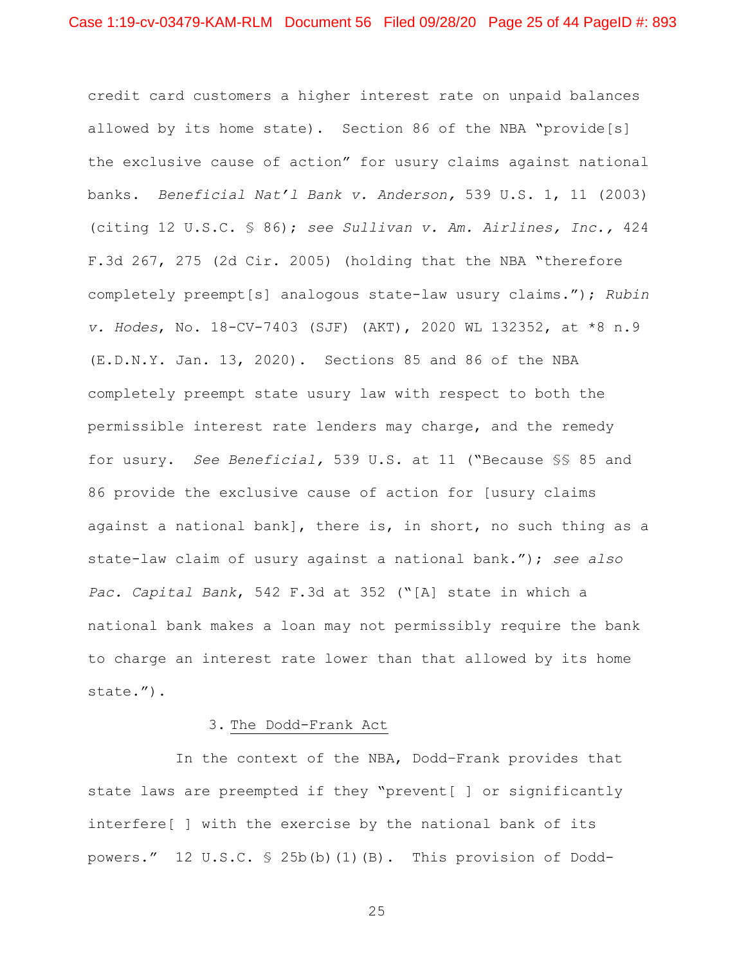credit card customers a higher interest rate on unpaid balances allowed by its home state). Section 86 of the NBA "provide[s] the exclusive cause of action" for usury claims against national banks. *Beneficial Nat'l Bank v. Anderson,* 539 U.S. 1, 11 (2003) (citing 12 U.S.C. § 86); *see Sullivan v. Am. Airlines, Inc.,* 424 F.3d 267, 275 (2d Cir. 2005) (holding that the NBA "therefore completely preempt[s] analogous state-law usury claims."); *Rubin v. Hodes*, No. 18-CV-7403 (SJF) (AKT), 2020 WL 132352, at \*8 n.9 (E.D.N.Y. Jan. 13, 2020). Sections 85 and 86 of the NBA completely preempt state usury law with respect to both the permissible interest rate lenders may charge, and the remedy for usury. *See Beneficial,* 539 U.S. at 11 ("Because §§ 85 and 86 provide the exclusive cause of action for [usury claims against a national bank], there is, in short, no such thing as a state-law claim of usury against a national bank."); *see also Pac. Capital Bank*, 542 F.3d at 352 ("[A] state in which a national bank makes a loan may not permissibly require the bank to charge an interest rate lower than that allowed by its home state.").

### 3. The Dodd-Frank Act

In the context of the NBA, Dodd–Frank provides that state laws are preempted if they "prevent[ ] or significantly interfere[ ] with the exercise by the national bank of its powers." 12 U.S.C. § 25b(b)(1)(B). This provision of Dodd-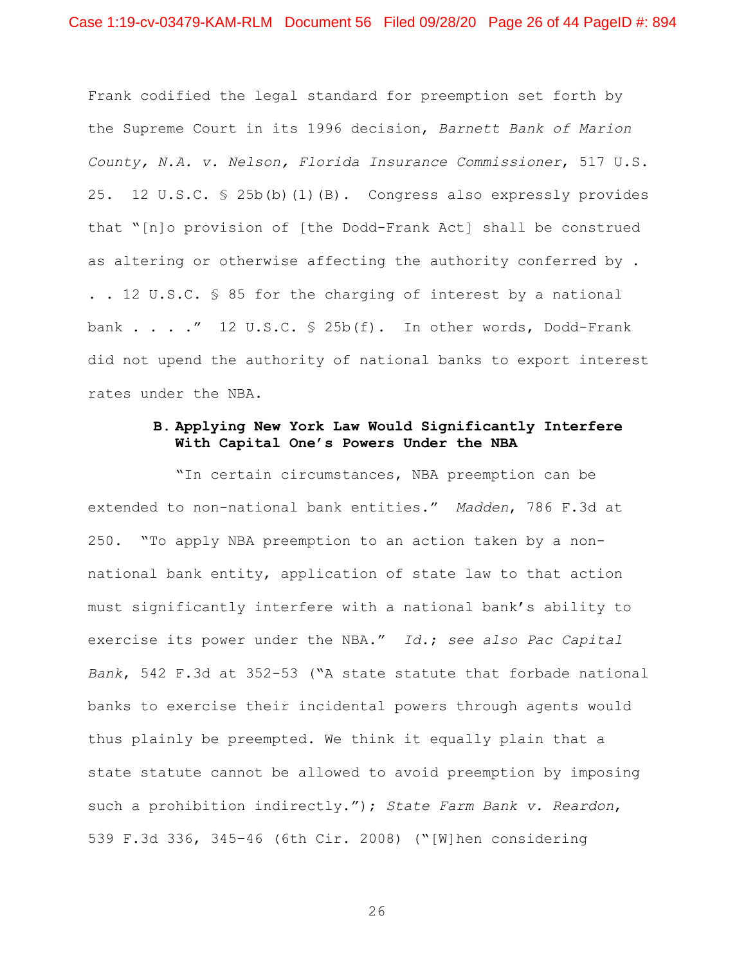Frank codified the legal standard for preemption set forth by the Supreme Court in its 1996 decision, *Barnett Bank of Marion County, N.A. v. Nelson, Florida Insurance Commissioner*, 517 U.S. 25. 12 U.S.C. § 25b(b)(1)(B). Congress also expressly provides that "[n]o provision of [the Dodd-Frank Act] shall be construed as altering or otherwise affecting the authority conferred by . . . 12 U.S.C. § 85 for the charging of interest by a national bank  $\ldots$  . . . . . 12 U.S.C. § 25b(f). In other words, Dodd-Frank did not upend the authority of national banks to export interest rates under the NBA.

## **B. Applying New York Law Would Significantly Interfere With Capital One's Powers Under the NBA**

"In certain circumstances, NBA preemption can be extended to non-national bank entities." *Madden*, 786 F.3d at 250. "To apply NBA preemption to an action taken by a nonnational bank entity, application of state law to that action must significantly interfere with a national bank's ability to exercise its power under the NBA." *Id.*; *see also Pac Capital Bank*, 542 F.3d at 352-53 ("A state statute that forbade national banks to exercise their incidental powers through agents would thus plainly be preempted. We think it equally plain that a state statute cannot be allowed to avoid preemption by imposing such a prohibition indirectly."); *State Farm Bank v. Reardon*, 539 F.3d 336, 345–46 (6th Cir. 2008) ("[W]hen considering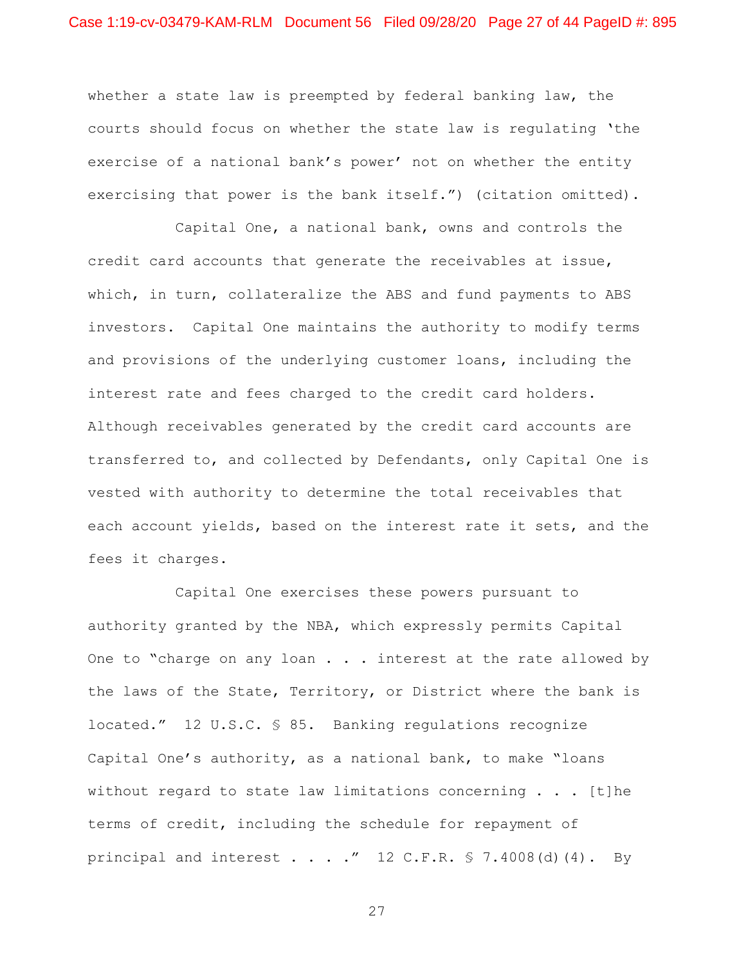whether a state law is preempted by federal banking law, the courts should focus on whether the state law is regulating 'the exercise of a national bank's power' not on whether the entity exercising that power is the bank itself.") (citation omitted).

Capital One, a national bank, owns and controls the credit card accounts that generate the receivables at issue, which, in turn, collateralize the ABS and fund payments to ABS investors. Capital One maintains the authority to modify terms and provisions of the underlying customer loans, including the interest rate and fees charged to the credit card holders. Although receivables generated by the credit card accounts are transferred to, and collected by Defendants, only Capital One is vested with authority to determine the total receivables that each account yields, based on the interest rate it sets, and the fees it charges.

Capital One exercises these powers pursuant to authority granted by the NBA, which expressly permits Capital One to "charge on any loan . . . interest at the rate allowed by the laws of the State, Territory, or District where the bank is located." 12 U.S.C. § 85. Banking regulations recognize Capital One's authority, as a national bank, to make "loans without regard to state law limitations concerning  $\ldots$  [t]he terms of credit, including the schedule for repayment of principal and interest . . . . "  $12$  C.F.R. § 7.4008(d)(4). By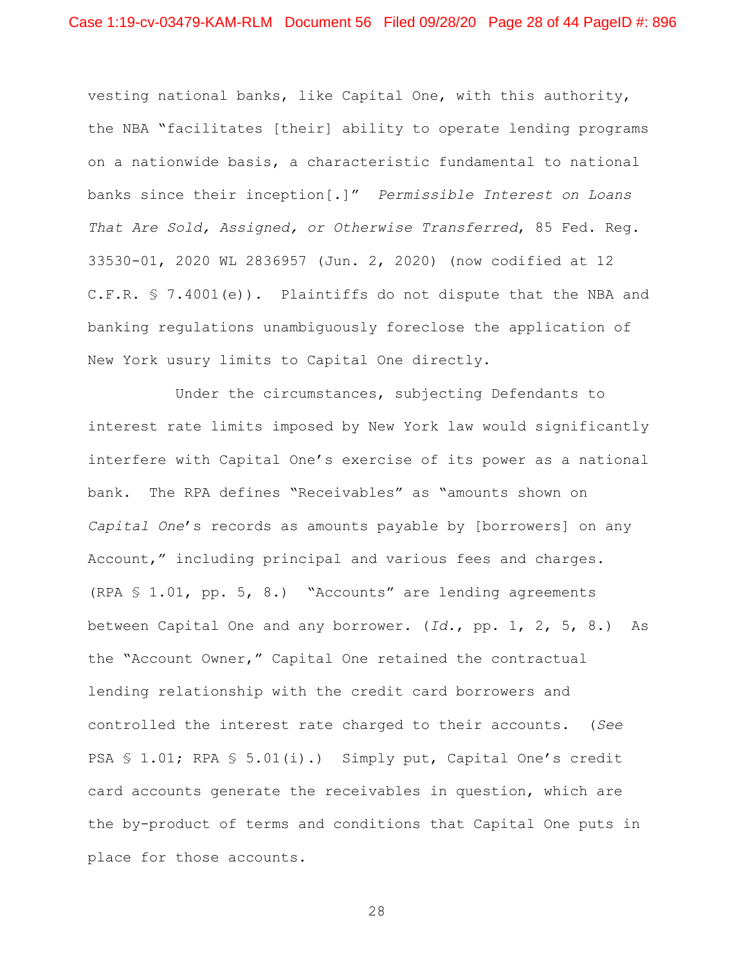vesting national banks, like Capital One, with this authority, the NBA "facilitates [their] ability to operate lending programs on a nationwide basis, a characteristic fundamental to national banks since their inception[.]" *Permissible Interest on Loans That Are Sold, Assigned, or Otherwise Transferred*, 85 Fed. Reg. 33530-01, 2020 WL 2836957 (Jun. 2, 2020) (now codified at 12 C.F.R. § 7.4001(e)). Plaintiffs do not dispute that the NBA and banking regulations unambiguously foreclose the application of New York usury limits to Capital One directly.

Under the circumstances, subjecting Defendants to interest rate limits imposed by New York law would significantly interfere with Capital One's exercise of its power as a national bank. The RPA defines "Receivables" as "amounts shown on *Capital One*'s records as amounts payable by [borrowers] on any Account," including principal and various fees and charges. (RPA § 1.01, pp. 5, 8.) "Accounts" are lending agreements between Capital One and any borrower. (*Id.*, pp. 1, 2, 5, 8.) As the "Account Owner," Capital One retained the contractual lending relationship with the credit card borrowers and controlled the interest rate charged to their accounts. (*See*  PSA § 1.01; RPA § 5.01(i).) Simply put, Capital One's credit card accounts generate the receivables in question, which are the by-product of terms and conditions that Capital One puts in place for those accounts.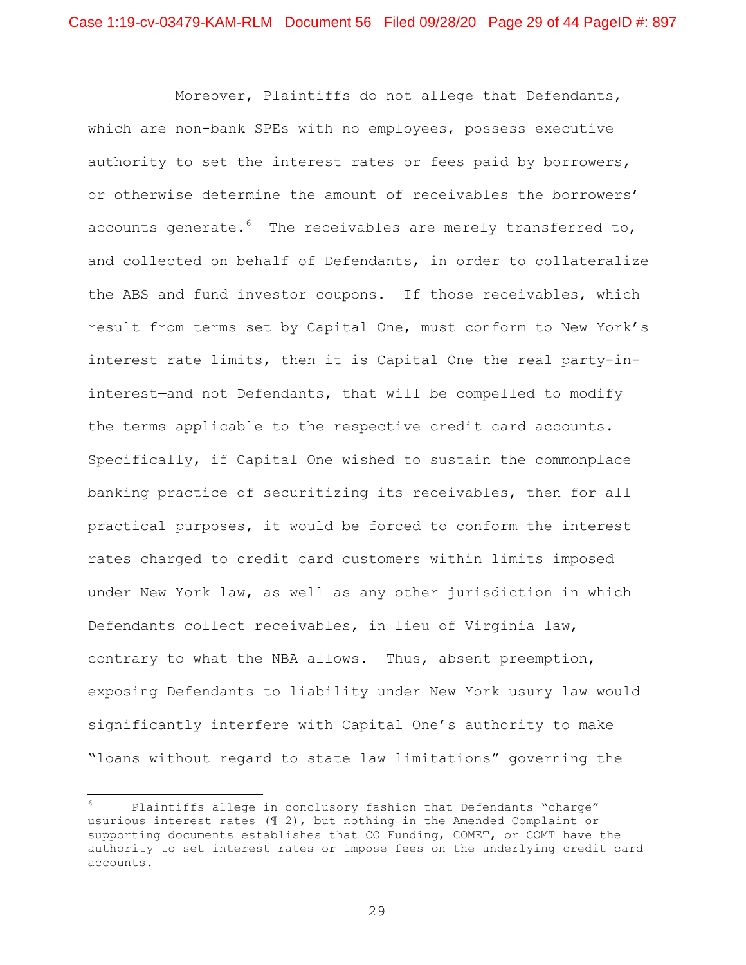Moreover, Plaintiffs do not allege that Defendants, which are non-bank SPEs with no employees, possess executive authority to set the interest rates or fees paid by borrowers, or otherwise determine the amount of receivables the borrowers' accounts generate. $6$  The receivables are merely transferred to, and collected on behalf of Defendants, in order to collateralize the ABS and fund investor coupons. If those receivables, which result from terms set by Capital One, must conform to New York's interest rate limits, then it is Capital One—the real party-ininterest—and not Defendants, that will be compelled to modify the terms applicable to the respective credit card accounts. Specifically, if Capital One wished to sustain the commonplace banking practice of securitizing its receivables, then for all practical purposes, it would be forced to conform the interest rates charged to credit card customers within limits imposed under New York law, as well as any other jurisdiction in which Defendants collect receivables, in lieu of Virginia law, contrary to what the NBA allows. Thus, absent preemption, exposing Defendants to liability under New York usury law would significantly interfere with Capital One's authority to make "loans without regard to state law limitations" governing the

Plaintiffs allege in conclusory fashion that Defendants "charge" usurious interest rates (¶ 2), but nothing in the Amended Complaint or supporting documents establishes that CO Funding, COMET, or COMT have the authority to set interest rates or impose fees on the underlying credit card accounts.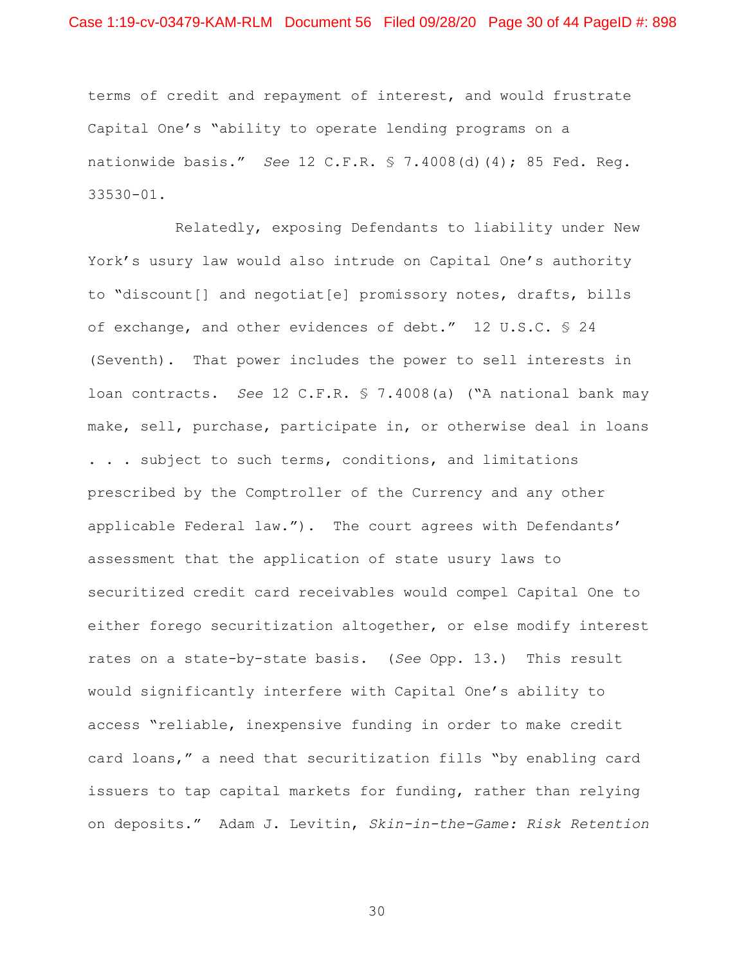terms of credit and repayment of interest, and would frustrate Capital One's "ability to operate lending programs on a nationwide basis." *See* 12 C.F.R. § 7.4008(d)(4); 85 Fed. Reg. 33530-01.

Relatedly, exposing Defendants to liability under New York's usury law would also intrude on Capital One's authority to "discount[] and negotiat[e] promissory notes, drafts, bills of exchange, and other evidences of debt." 12 U.S.C. § 24 (Seventh). That power includes the power to sell interests in loan contracts. *See* 12 C.F.R. § 7.4008(a) ("A national bank may make, sell, purchase, participate in, or otherwise deal in loans . . . subject to such terms, conditions, and limitations prescribed by the Comptroller of the Currency and any other applicable Federal law."). The court agrees with Defendants' assessment that the application of state usury laws to securitized credit card receivables would compel Capital One to either forego securitization altogether, or else modify interest rates on a state-by-state basis. (*See* Opp. 13.) This result would significantly interfere with Capital One's ability to access "reliable, inexpensive funding in order to make credit card loans," a need that securitization fills "by enabling card issuers to tap capital markets for funding, rather than relying on deposits." Adam J. Levitin, *Skin-in-the-Game: Risk Retention*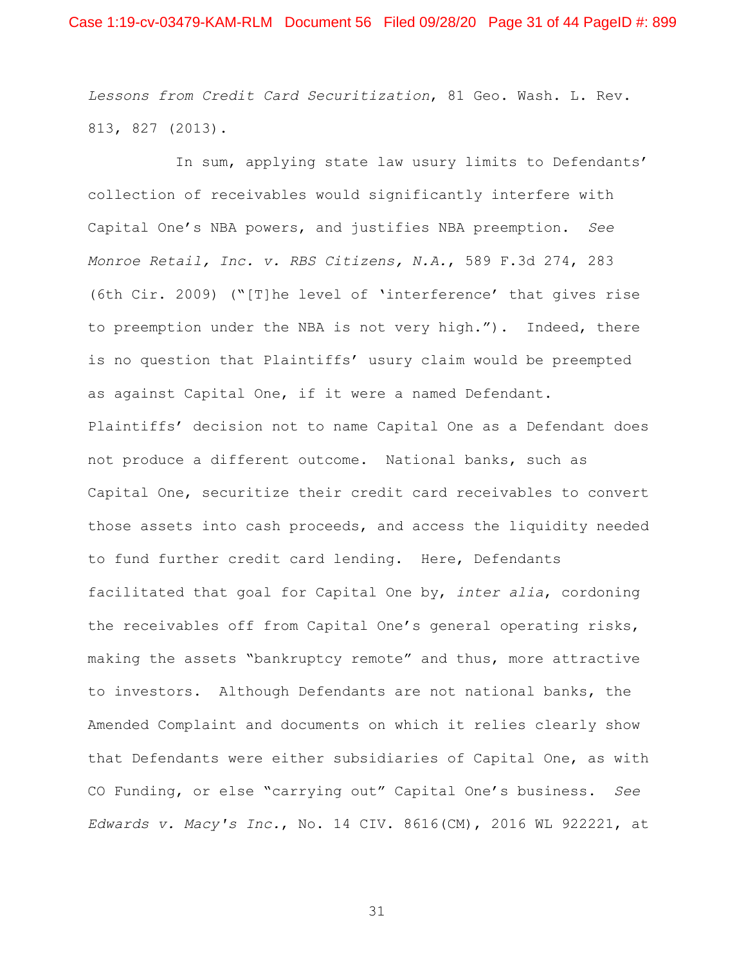*Lessons from Credit Card Securitization*, 81 Geo. Wash. L. Rev. 813, 827 (2013).

In sum, applying state law usury limits to Defendants' collection of receivables would significantly interfere with Capital One's NBA powers, and justifies NBA preemption. *See Monroe Retail, Inc. v. RBS Citizens, N.A.*, 589 F.3d 274, 283 (6th Cir. 2009) ("[T]he level of 'interference' that gives rise to preemption under the NBA is not very high."). Indeed, there is no question that Plaintiffs' usury claim would be preempted as against Capital One, if it were a named Defendant. Plaintiffs' decision not to name Capital One as a Defendant does not produce a different outcome. National banks, such as Capital One, securitize their credit card receivables to convert those assets into cash proceeds, and access the liquidity needed to fund further credit card lending. Here, Defendants facilitated that goal for Capital One by, *inter alia*, cordoning the receivables off from Capital One's general operating risks, making the assets "bankruptcy remote" and thus, more attractive to investors. Although Defendants are not national banks, the Amended Complaint and documents on which it relies clearly show that Defendants were either subsidiaries of Capital One, as with CO Funding, or else "carrying out" Capital One's business. *See Edwards v. Macy's Inc.*, No. 14 CIV. 8616(CM), 2016 WL 922221, at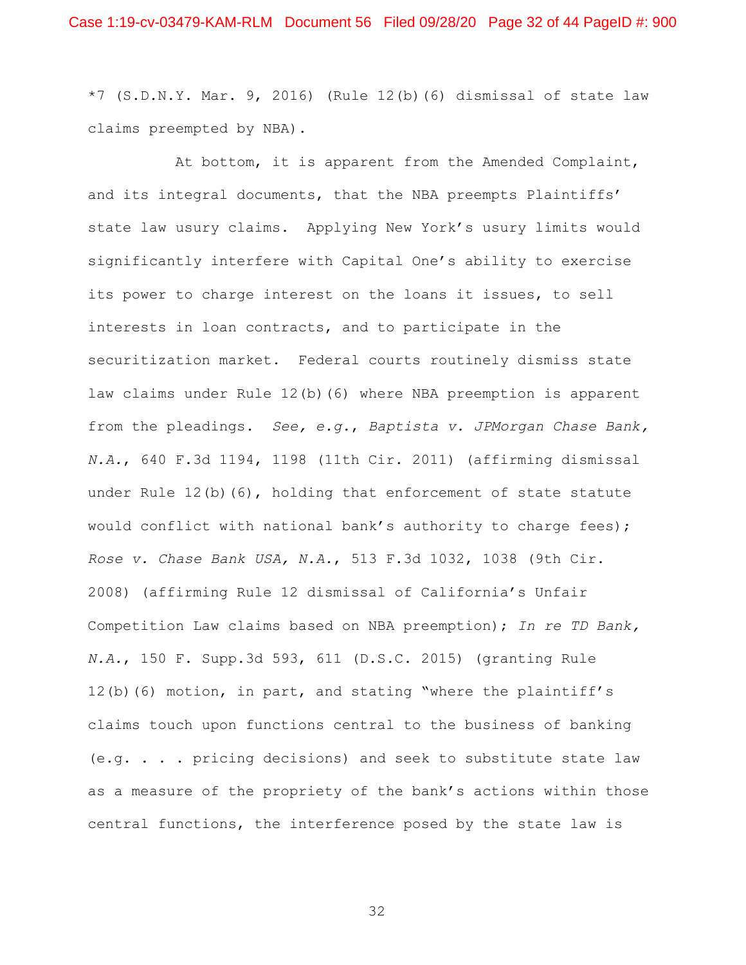$*7$  (S.D.N.Y. Mar. 9, 2016) (Rule 12(b)(6) dismissal of state law claims preempted by NBA).

At bottom, it is apparent from the Amended Complaint, and its integral documents, that the NBA preempts Plaintiffs' state law usury claims. Applying New York's usury limits would significantly interfere with Capital One's ability to exercise its power to charge interest on the loans it issues, to sell interests in loan contracts, and to participate in the securitization market. Federal courts routinely dismiss state law claims under Rule 12(b)(6) where NBA preemption is apparent from the pleadings. *See, e.g.*, *Baptista v. JPMorgan Chase Bank, N.A.*, 640 F.3d 1194, 1198 (11th Cir. 2011) (affirming dismissal under Rule  $12(b)$  (6), holding that enforcement of state statute would conflict with national bank's authority to charge fees); *Rose v. Chase Bank USA, N.A.*, 513 F.3d 1032, 1038 (9th Cir. 2008) (affirming Rule 12 dismissal of California's Unfair Competition Law claims based on NBA preemption); *In re TD Bank, N.A.*, 150 F. Supp.3d 593, 611 (D.S.C. 2015) (granting Rule 12(b)(6) motion, in part, and stating "where the plaintiff's claims touch upon functions central to the business of banking (e.g. . . . pricing decisions) and seek to substitute state law as a measure of the propriety of the bank's actions within those central functions, the interference posed by the state law is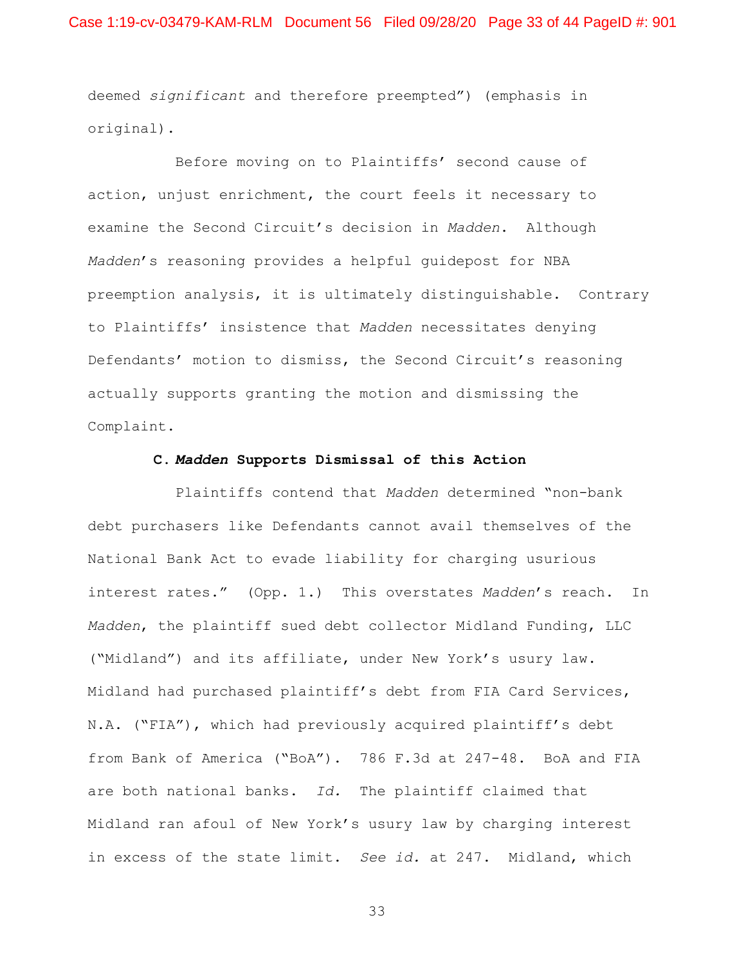deemed *significant* and therefore preempted") (emphasis in original).

Before moving on to Plaintiffs' second cause of action, unjust enrichment, the court feels it necessary to examine the Second Circuit's decision in *Madden*. Although *Madden*'s reasoning provides a helpful guidepost for NBA preemption analysis, it is ultimately distinguishable. Contrary to Plaintiffs' insistence that *Madden* necessitates denying Defendants' motion to dismiss, the Second Circuit's reasoning actually supports granting the motion and dismissing the Complaint.

### **C.** *Madden* **Supports Dismissal of this Action**

Plaintiffs contend that *Madden* determined "non-bank debt purchasers like Defendants cannot avail themselves of the National Bank Act to evade liability for charging usurious interest rates." (Opp. 1.) This overstates *Madden*'s reach. In *Madden*, the plaintiff sued debt collector Midland Funding, LLC ("Midland") and its affiliate, under New York's usury law. Midland had purchased plaintiff's debt from FIA Card Services, N.A. ("FIA"), which had previously acquired plaintiff's debt from Bank of America ("BoA"). 786 F.3d at 247-48. BoA and FIA are both national banks. *Id.* The plaintiff claimed that Midland ran afoul of New York's usury law by charging interest in excess of the state limit. *See id.* at 247. Midland, which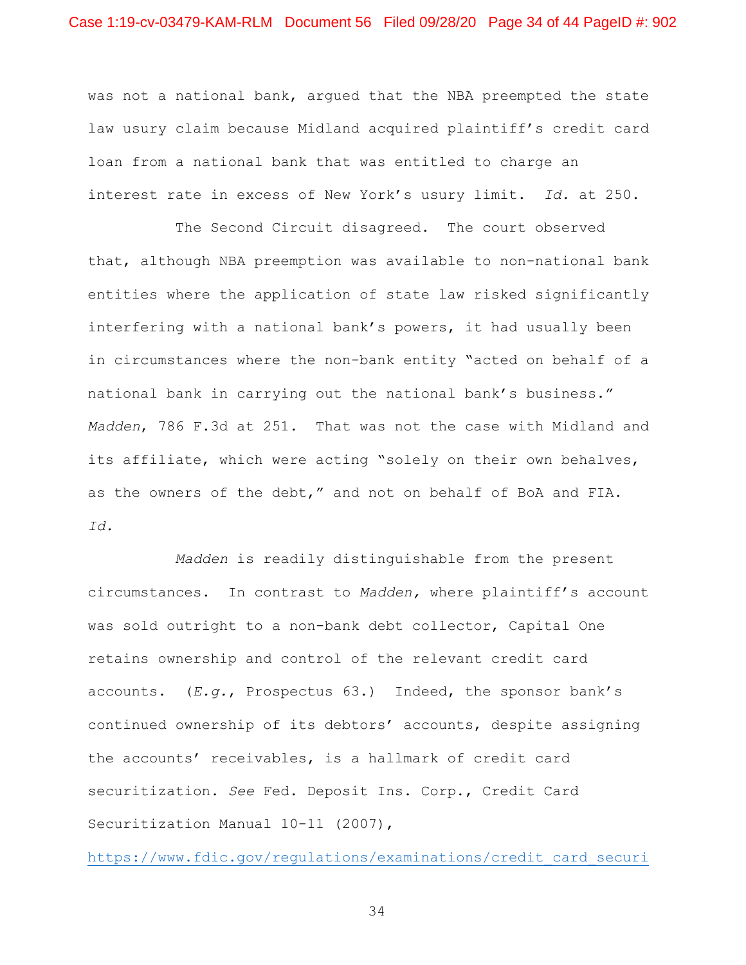was not a national bank, argued that the NBA preempted the state law usury claim because Midland acquired plaintiff's credit card loan from a national bank that was entitled to charge an interest rate in excess of New York's usury limit. *Id.* at 250.

The Second Circuit disagreed. The court observed that, although NBA preemption was available to non-national bank entities where the application of state law risked significantly interfering with a national bank's powers, it had usually been in circumstances where the non-bank entity "acted on behalf of a national bank in carrying out the national bank's business." *Madden*, 786 F.3d at 251. That was not the case with Midland and its affiliate, which were acting "solely on their own behalves, as the owners of the debt," and not on behalf of BoA and FIA. *Id.*

*Madden* is readily distinguishable from the present circumstances. In contrast to *Madden,* where plaintiff's account was sold outright to a non-bank debt collector, Capital One retains ownership and control of the relevant credit card accounts. (*E.g.*, Prospectus 63.) Indeed, the sponsor bank's continued ownership of its debtors' accounts, despite assigning the accounts' receivables, is a hallmark of credit card securitization. *See* Fed. Deposit Ins. Corp., Credit Card Securitization Manual 10-11 (2007),

https://www.fdic.gov/regulations/examinations/credit\_card\_securi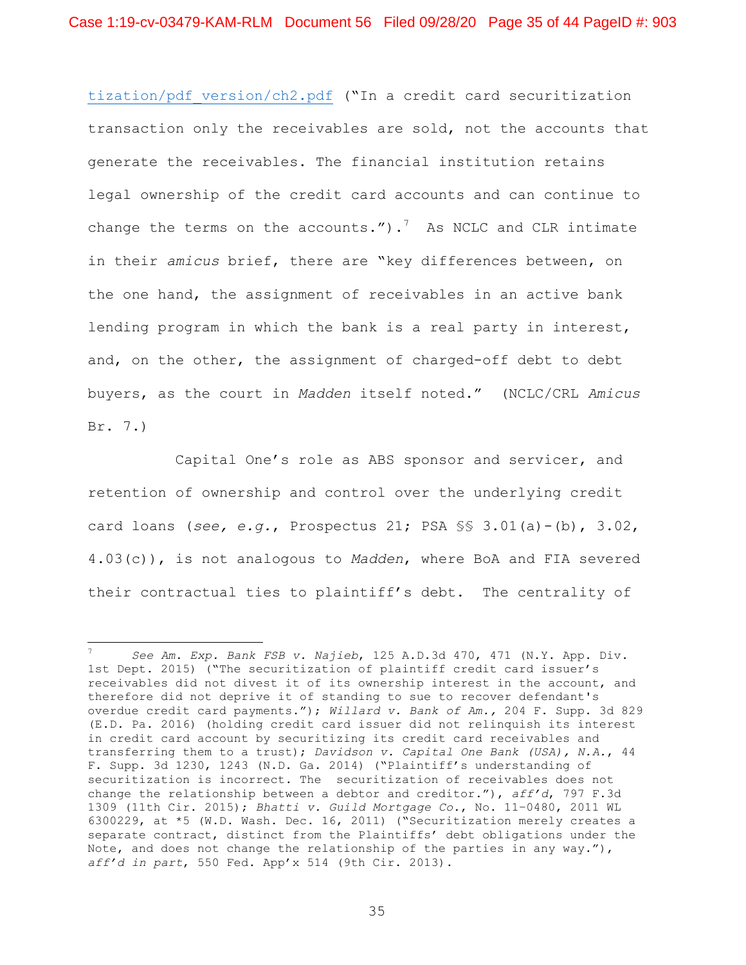tization/pdf\_version/ch2.pdf ("In a credit card securitization transaction only the receivables are sold, not the accounts that generate the receivables. The financial institution retains legal ownership of the credit card accounts and can continue to change the terms on the accounts."). $7$  As NCLC and CLR intimate in their *amicus* brief, there are "key differences between, on the one hand, the assignment of receivables in an active bank lending program in which the bank is a real party in interest, and, on the other, the assignment of charged-off debt to debt buyers, as the court in *Madden* itself noted." (NCLC/CRL *Amicus*  Br. 7.)

Capital One's role as ABS sponsor and servicer, and retention of ownership and control over the underlying credit card loans (*see, e.g.*, Prospectus 21; PSA §§ 3.01(a)-(b), 3.02, 4.03(c)), is not analogous to *Madden*, where BoA and FIA severed their contractual ties to plaintiff's debt. The centrality of

<sup>7</sup> *See Am. Exp. Bank FSB v. Najieb*, 125 A.D.3d 470, 471 (N.Y. App. Div. 1st Dept. 2015) ("The securitization of plaintiff credit card issuer's receivables did not divest it of its ownership interest in the account, and therefore did not deprive it of standing to sue to recover defendant's overdue credit card payments."); *Willard v. Bank of Am.,* 204 F. Supp. 3d 829 (E.D. Pa. 2016) (holding credit card issuer did not relinquish its interest in credit card account by securitizing its credit card receivables and transferring them to a trust); *Davidson v. Capital One Bank (USA), N.A.*, 44 F. Supp. 3d 1230, 1243 (N.D. Ga. 2014) ("Plaintiff's understanding of securitization is incorrect. The securitization of receivables does not change the relationship between a debtor and creditor."), *aff'd*, 797 F.3d 1309 (11th Cir. 2015); *Bhatti v. Guild Mortgage Co.*, No. 11–0480, 2011 WL 6300229, at \*5 (W.D. Wash. Dec. 16, 2011) ("Securitization merely creates a separate contract, distinct from the Plaintiffs' debt obligations under the Note, and does not change the relationship of the parties in any way."), *aff'd in part*, 550 Fed. App'x 514 (9th Cir. 2013).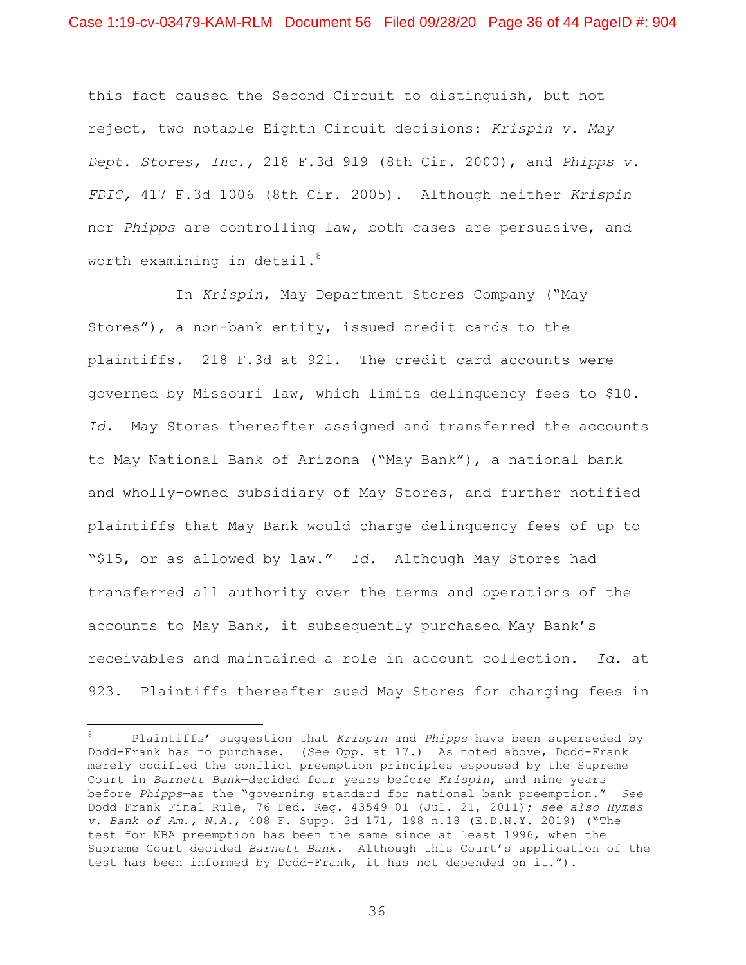this fact caused the Second Circuit to distinguish, but not reject, two notable Eighth Circuit decisions: *Krispin v. May Dept. Stores, Inc.,* 218 F.3d 919 (8th Cir. 2000), and *Phipps v. FDIC,* 417 F.3d 1006 (8th Cir. 2005). Although neither *Krispin*  nor *Phipps* are controlling law, both cases are persuasive, and worth examining in detail. $^8$ 

In *Krispin*, May Department Stores Company ("May Stores"), a non-bank entity, issued credit cards to the plaintiffs. 218 F.3d at 921. The credit card accounts were governed by Missouri law, which limits delinquency fees to \$10. *Id.* May Stores thereafter assigned and transferred the accounts to May National Bank of Arizona ("May Bank"), a national bank and wholly-owned subsidiary of May Stores, and further notified plaintiffs that May Bank would charge delinquency fees of up to "\$15, or as allowed by law." *Id.* Although May Stores had transferred all authority over the terms and operations of the accounts to May Bank, it subsequently purchased May Bank's receivables and maintained a role in account collection. *Id.* at 923. Plaintiffs thereafter sued May Stores for charging fees in

<sup>8</sup> Plaintiffs' suggestion that *Krispin* and *Phipps* have been superseded by Dodd-Frank has no purchase. (*See* Opp. at 17.) As noted above, Dodd-Frank merely codified the conflict preemption principles espoused by the Supreme Court in *Barnett Bank*—decided four years before *Krispin*, and nine years before *Phipps*—as the "governing standard for national bank preemption." *See* Dodd–Frank Final Rule, 76 Fed. Reg. 43549–01 (Jul. 21, 2011); *see also Hymes v. Bank of Am., N.A.*, 408 F. Supp. 3d 171, 198 n.18 (E.D.N.Y. 2019) ("The test for NBA preemption has been the same since at least 1996, when the Supreme Court decided *Barnett Bank*. Although this Court's application of the test has been informed by Dodd–Frank, it has not depended on it.").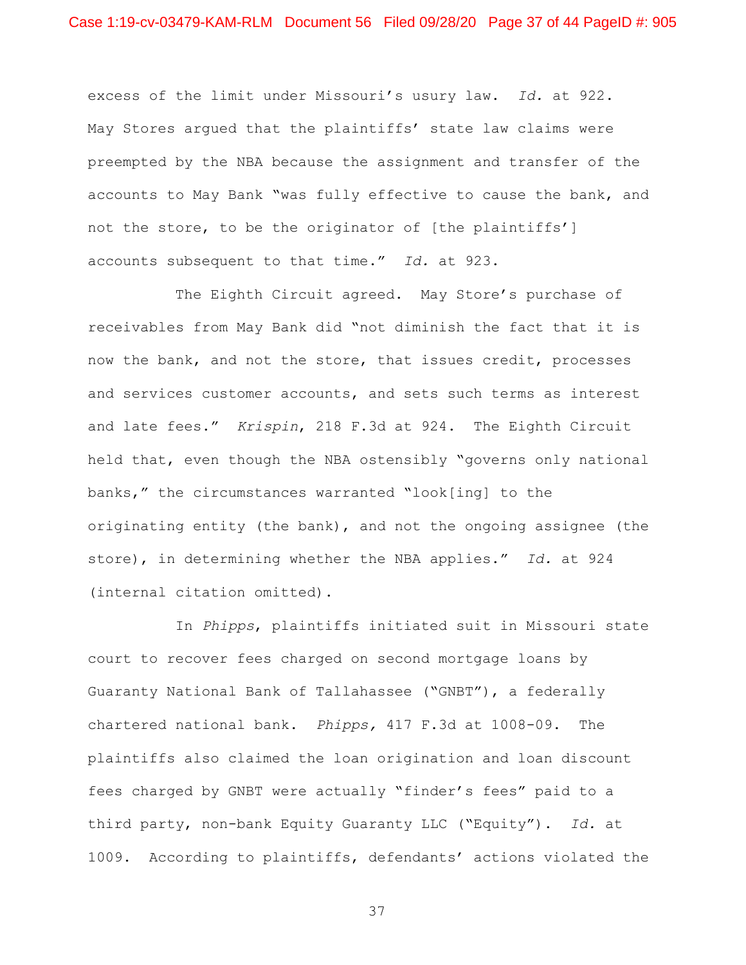excess of the limit under Missouri's usury law. *Id.* at 922. May Stores argued that the plaintiffs' state law claims were preempted by the NBA because the assignment and transfer of the accounts to May Bank "was fully effective to cause the bank, and not the store, to be the originator of [the plaintiffs'] accounts subsequent to that time." *Id.* at 923.

The Eighth Circuit agreed. May Store's purchase of receivables from May Bank did "not diminish the fact that it is now the bank, and not the store, that issues credit, processes and services customer accounts, and sets such terms as interest and late fees." *Krispin*, 218 F.3d at 924. The Eighth Circuit held that, even though the NBA ostensibly "governs only national banks," the circumstances warranted "look[ing] to the originating entity (the bank), and not the ongoing assignee (the store), in determining whether the NBA applies." *Id.* at 924 (internal citation omitted).

In *Phipps*, plaintiffs initiated suit in Missouri state court to recover fees charged on second mortgage loans by Guaranty National Bank of Tallahassee ("GNBT"), a federally chartered national bank. *Phipps,* 417 F.3d at 1008-09. The plaintiffs also claimed the loan origination and loan discount fees charged by GNBT were actually "finder's fees" paid to a third party, non-bank Equity Guaranty LLC ("Equity"). *Id.* at 1009. According to plaintiffs, defendants' actions violated the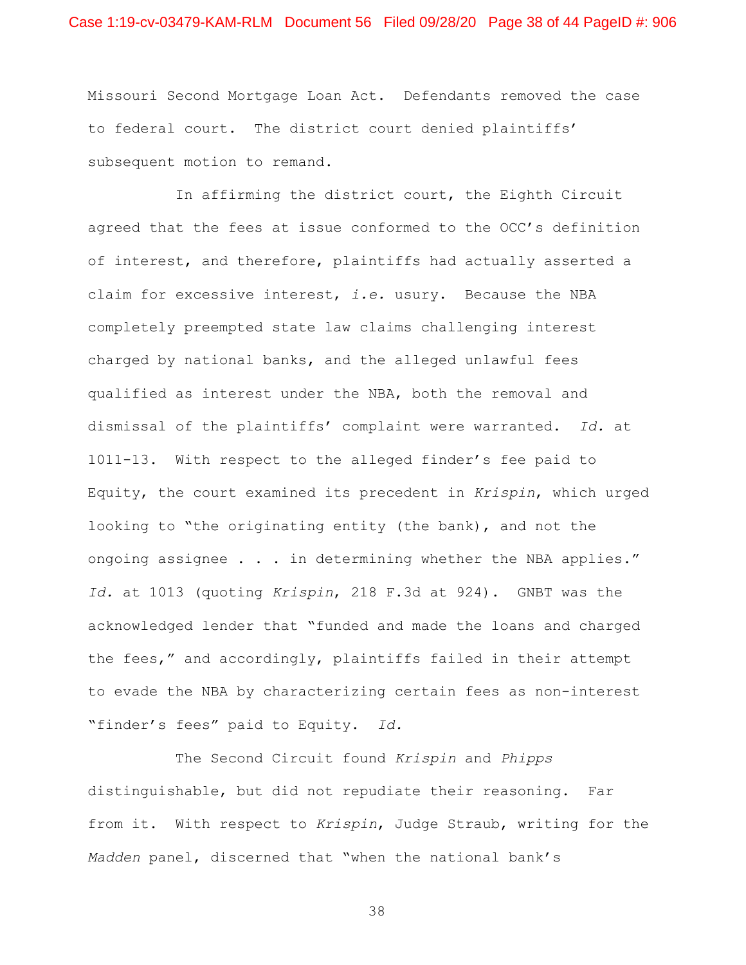Missouri Second Mortgage Loan Act. Defendants removed the case to federal court. The district court denied plaintiffs' subsequent motion to remand.

In affirming the district court, the Eighth Circuit agreed that the fees at issue conformed to the OCC's definition of interest, and therefore, plaintiffs had actually asserted a claim for excessive interest, *i.e.* usury. Because the NBA completely preempted state law claims challenging interest charged by national banks, and the alleged unlawful fees qualified as interest under the NBA, both the removal and dismissal of the plaintiffs' complaint were warranted. *Id.* at 1011-13. With respect to the alleged finder's fee paid to Equity, the court examined its precedent in *Krispin*, which urged looking to "the originating entity (the bank), and not the ongoing assignee . . . in determining whether the NBA applies." *Id.* at 1013 (quoting *Krispin*, 218 F.3d at 924). GNBT was the acknowledged lender that "funded and made the loans and charged the fees," and accordingly, plaintiffs failed in their attempt to evade the NBA by characterizing certain fees as non-interest "finder's fees" paid to Equity. *Id.*

The Second Circuit found *Krispin* and *Phipps*  distinguishable, but did not repudiate their reasoning. Far from it. With respect to *Krispin*, Judge Straub, writing for the *Madden* panel, discerned that "when the national bank's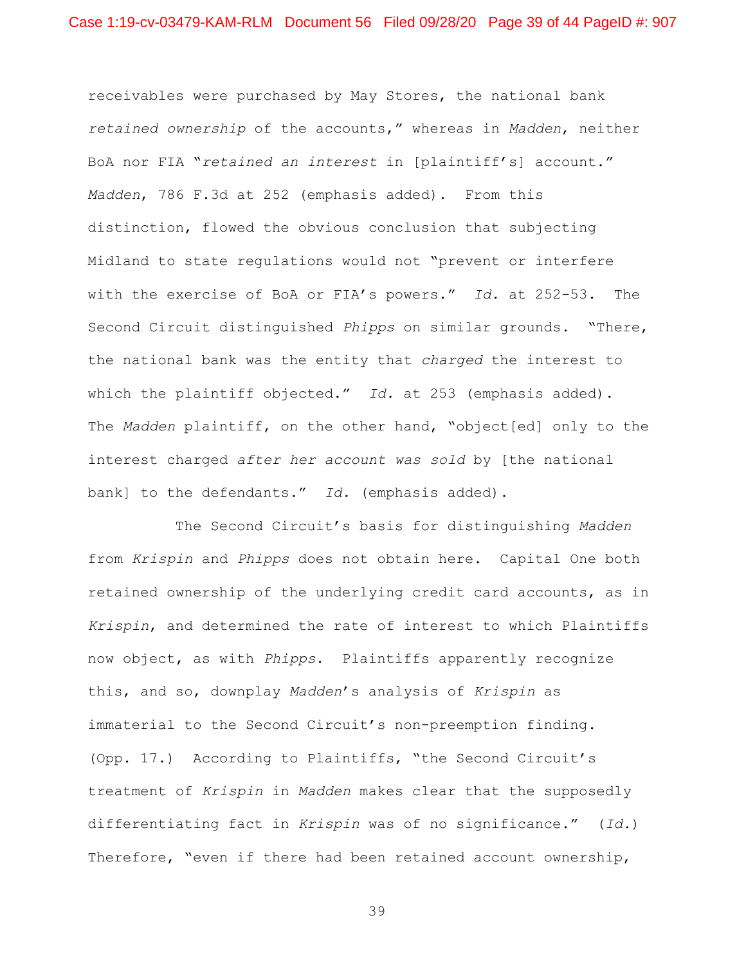receivables were purchased by May Stores, the national bank *retained ownership* of the accounts," whereas in *Madden*, neither BoA nor FIA "*retained an interest* in [plaintiff's] account." *Madden*, 786 F.3d at 252 (emphasis added). From this distinction, flowed the obvious conclusion that subjecting Midland to state regulations would not "prevent or interfere with the exercise of BoA or FIA's powers." *Id.* at 252-53. The Second Circuit distinguished *Phipps* on similar grounds. "There, the national bank was the entity that *charged* the interest to which the plaintiff objected." *Id.* at 253 (emphasis added). The *Madden* plaintiff, on the other hand, "object[ed] only to the interest charged *after her account was sold* by [the national bank] to the defendants." *Id.* (emphasis added).

The Second Circuit's basis for distinguishing *Madden*  from *Krispin* and *Phipps* does not obtain here. Capital One both retained ownership of the underlying credit card accounts, as in *Krispin*, and determined the rate of interest to which Plaintiffs now object, as with *Phipps*. Plaintiffs apparently recognize this, and so, downplay *Madden*'s analysis of *Krispin* as immaterial to the Second Circuit's non-preemption finding. (Opp. 17.) According to Plaintiffs, "the Second Circuit's treatment of *Krispin* in *Madden* makes clear that the supposedly differentiating fact in *Krispin* was of no significance." (*Id.*) Therefore, "even if there had been retained account ownership,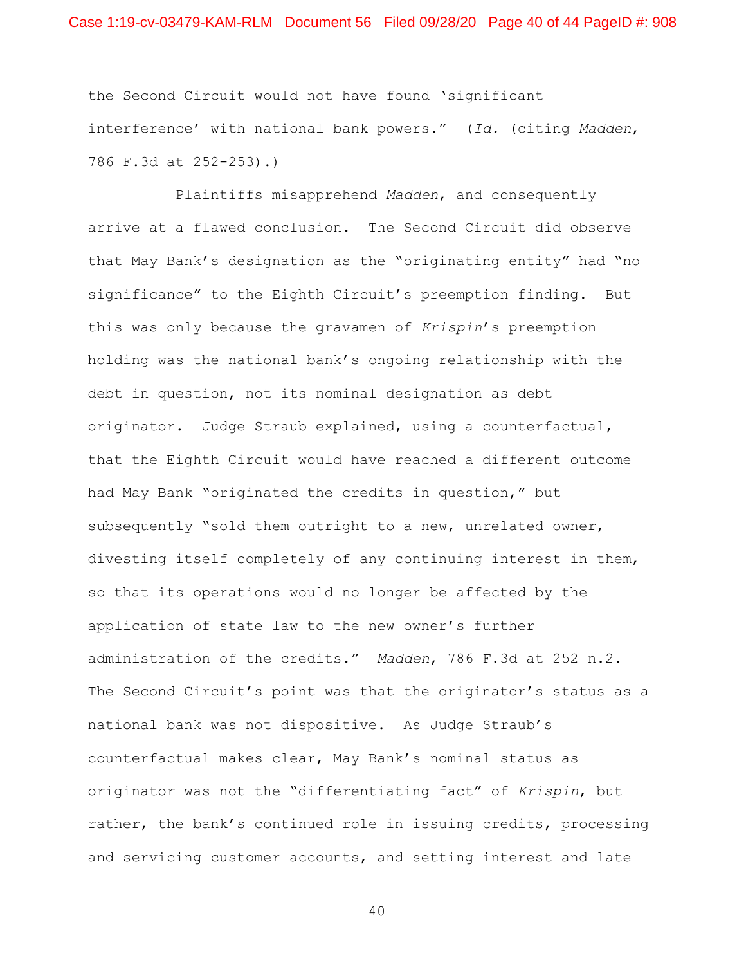### Case 1:19-cv-03479-KAM-RLM Document 56 Filed 09/28/20 Page 40 of 44 PageID #: 908

the Second Circuit would not have found 'significant interference' with national bank powers." (*Id.* (citing *Madden*, 786 F.3d at 252-253).)

Plaintiffs misapprehend *Madden*, and consequently arrive at a flawed conclusion. The Second Circuit did observe that May Bank's designation as the "originating entity" had "no significance" to the Eighth Circuit's preemption finding. But this was only because the gravamen of *Krispin*'s preemption holding was the national bank's ongoing relationship with the debt in question, not its nominal designation as debt originator. Judge Straub explained, using a counterfactual, that the Eighth Circuit would have reached a different outcome had May Bank "originated the credits in question," but subsequently "sold them outright to a new, unrelated owner, divesting itself completely of any continuing interest in them, so that its operations would no longer be affected by the application of state law to the new owner's further administration of the credits." *Madden*, 786 F.3d at 252 n.2. The Second Circuit's point was that the originator's status as a national bank was not dispositive. As Judge Straub's counterfactual makes clear, May Bank's nominal status as originator was not the "differentiating fact" of *Krispin*, but rather, the bank's continued role in issuing credits, processing and servicing customer accounts, and setting interest and late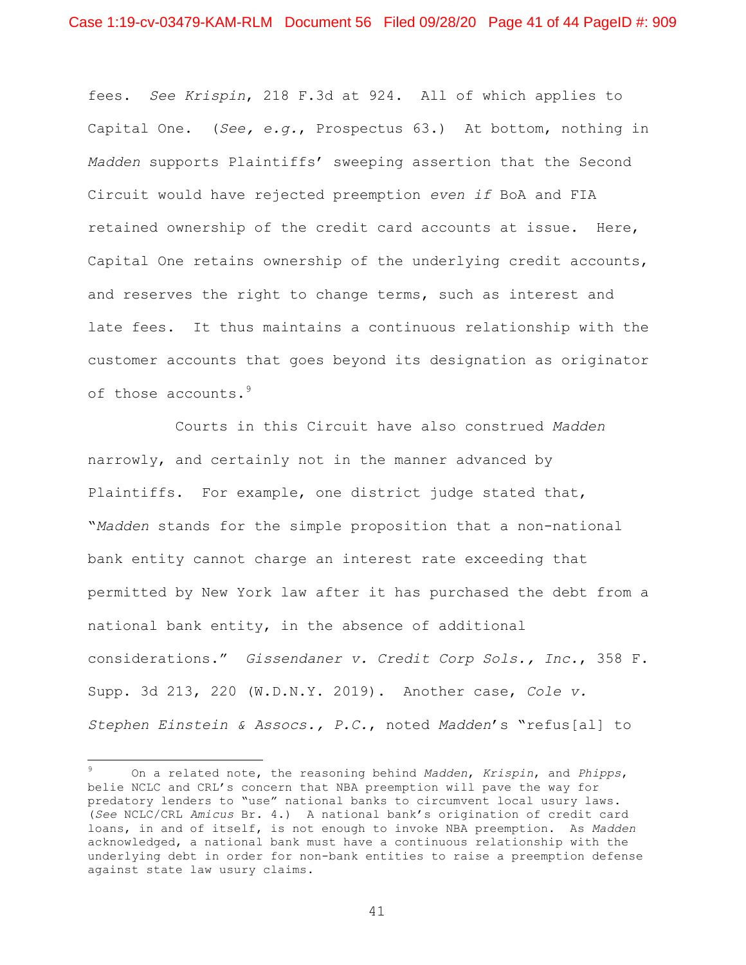fees. *See Krispin*, 218 F.3d at 924. All of which applies to Capital One. (*See, e.g.*, Prospectus 63.) At bottom, nothing in *Madden* supports Plaintiffs' sweeping assertion that the Second Circuit would have rejected preemption *even if* BoA and FIA retained ownership of the credit card accounts at issue. Here, Capital One retains ownership of the underlying credit accounts, and reserves the right to change terms, such as interest and late fees. It thus maintains a continuous relationship with the customer accounts that goes beyond its designation as originator of those accounts.<sup>9</sup>

Courts in this Circuit have also construed *Madden*  narrowly, and certainly not in the manner advanced by Plaintiffs. For example, one district judge stated that, "*Madden* stands for the simple proposition that a non-national bank entity cannot charge an interest rate exceeding that permitted by New York law after it has purchased the debt from a national bank entity, in the absence of additional considerations." *Gissendaner v. Credit Corp Sols., Inc.*, 358 F. Supp. 3d 213, 220 (W.D.N.Y. 2019). Another case, *Cole v. Stephen Einstein & Assocs., P.C.*, noted *Madden*'s "refus[al] to

<sup>9</sup> On a related note, the reasoning behind *Madden*, *Krispin*, and *Phipps*, belie NCLC and CRL's concern that NBA preemption will pave the way for predatory lenders to "use" national banks to circumvent local usury laws. (*See* NCLC/CRL *Amicus* Br. 4.) A national bank's origination of credit card loans, in and of itself, is not enough to invoke NBA preemption. As *Madden*  acknowledged, a national bank must have a continuous relationship with the underlying debt in order for non-bank entities to raise a preemption defense against state law usury claims.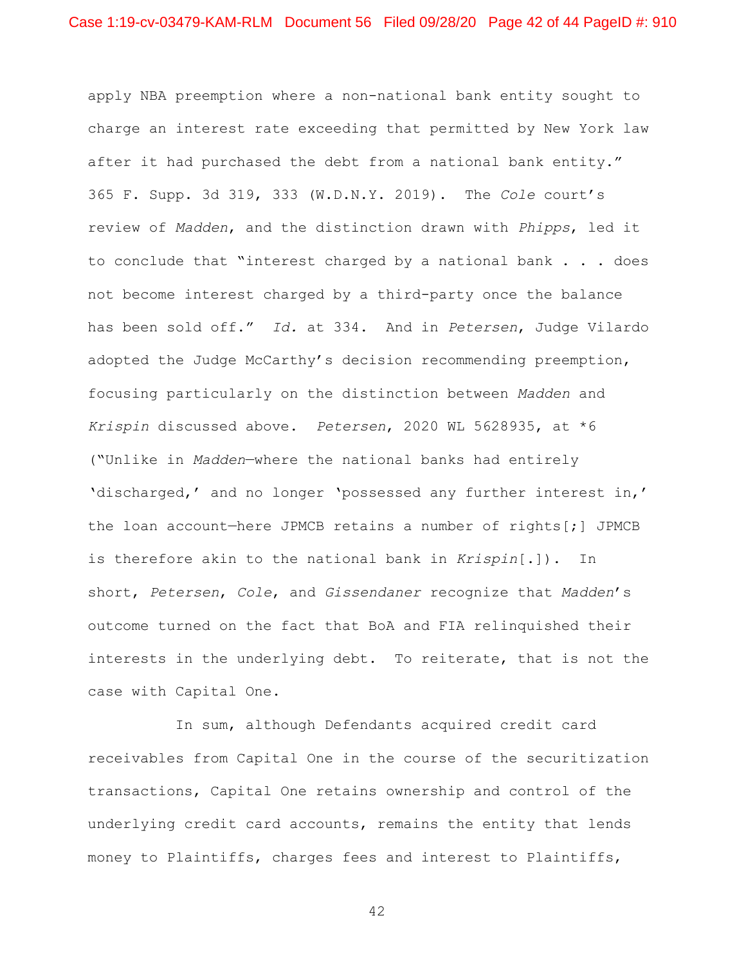apply NBA preemption where a non-national bank entity sought to charge an interest rate exceeding that permitted by New York law after it had purchased the debt from a national bank entity." 365 F. Supp. 3d 319, 333 (W.D.N.Y. 2019). The *Cole* court's review of *Madden*, and the distinction drawn with *Phipps*, led it to conclude that "interest charged by a national bank . . . does not become interest charged by a third-party once the balance has been sold off." *Id.* at 334. And in *Petersen*, Judge Vilardo adopted the Judge McCarthy's decision recommending preemption, focusing particularly on the distinction between *Madden* and *Krispin* discussed above. *Petersen*, 2020 WL 5628935, at \*6 ("Unlike in *Madden*—where the national banks had entirely 'discharged,' and no longer 'possessed any further interest in,' the loan account—here JPMCB retains a number of rights[;] JPMCB is therefore akin to the national bank in *Krispin*[.]). In short, *Petersen*, *Cole*, and *Gissendaner* recognize that *Madden*'s outcome turned on the fact that BoA and FIA relinquished their interests in the underlying debt. To reiterate, that is not the case with Capital One.

In sum, although Defendants acquired credit card receivables from Capital One in the course of the securitization transactions, Capital One retains ownership and control of the underlying credit card accounts, remains the entity that lends money to Plaintiffs, charges fees and interest to Plaintiffs,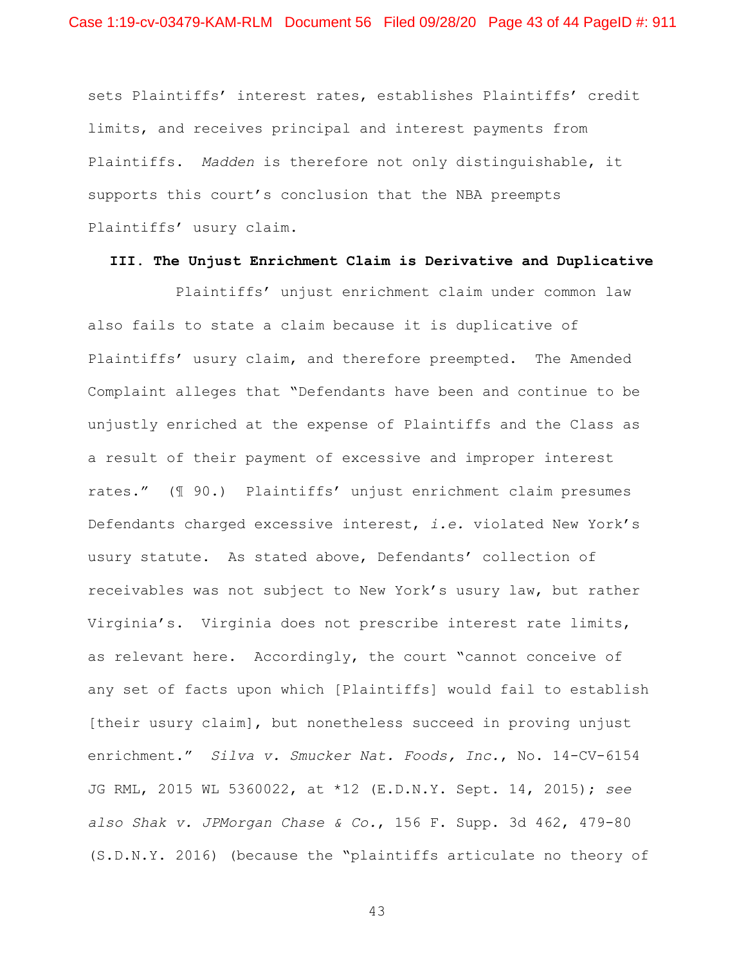sets Plaintiffs' interest rates, establishes Plaintiffs' credit limits, and receives principal and interest payments from Plaintiffs. *Madden* is therefore not only distinguishable, it supports this court's conclusion that the NBA preempts Plaintiffs' usury claim.

## **III. The Unjust Enrichment Claim is Derivative and Duplicative**

Plaintiffs' unjust enrichment claim under common law also fails to state a claim because it is duplicative of Plaintiffs' usury claim, and therefore preempted. The Amended Complaint alleges that "Defendants have been and continue to be unjustly enriched at the expense of Plaintiffs and the Class as a result of their payment of excessive and improper interest rates." (¶ 90.) Plaintiffs' unjust enrichment claim presumes Defendants charged excessive interest, *i.e.* violated New York's usury statute. As stated above, Defendants' collection of receivables was not subject to New York's usury law, but rather Virginia's. Virginia does not prescribe interest rate limits, as relevant here. Accordingly, the court "cannot conceive of any set of facts upon which [Plaintiffs] would fail to establish [their usury claim], but nonetheless succeed in proving unjust enrichment." *Silva v. Smucker Nat. Foods, Inc.*, No. 14-CV-6154 JG RML, 2015 WL 5360022, at \*12 (E.D.N.Y. Sept. 14, 2015); *see also Shak v. JPMorgan Chase & Co.*, 156 F. Supp. 3d 462, 479-80 (S.D.N.Y. 2016) (because the "plaintiffs articulate no theory of